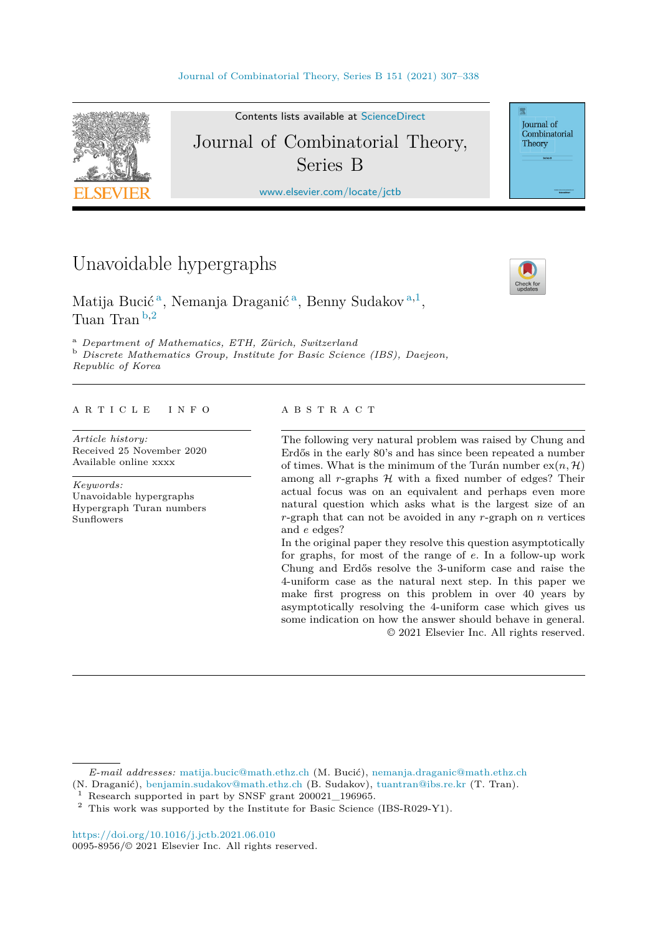

Contents lists available at [ScienceDirect](http://www.ScienceDirect.com/) Journal of Combinatorial Theory, Series B

[www.elsevier.com/locate/jctb](http://www.elsevier.com/locate/jctb)

## Unavoidable hypergraphs



Journal of Combinatorial Theory

Matija Bucić <sup>a</sup>, Nemanja Draganić <sup>a</sup>, Benny Sudakov <sup>a</sup>*,*<sup>1</sup>, Tuan Tran <sup>b</sup>*,*<sup>2</sup>

<sup>a</sup> Department of Mathematics, ETH, Zürich, Switzerland<br><sup>b</sup> Discrete Mathematics Group, Institute for Basic Science (IBS), Daejeon, *Republic of Korea*

#### A R T I C L E I N F O A B S T R A C T

*Article history:* Received 25 November 2020 Available online xxxx

*Keywords:* Unavoidable hypergraphs Hypergraph Turan numbers Sunflowers

The following very natural problem was raised by Chung and Erdős in the early 80's and has since been repeated a number of times. What is the minimum of the Turán number  $ex(n, \mathcal{H})$ among all  $r$ -graphs  $H$  with a fixed number of edges? Their actual focus was on an equivalent and perhaps even more natural question which asks what is the largest size of an *r*-graph that can not be avoided in any *r*-graph on *n* vertices and *e* edges?

In the original paper they resolve this question asymptotically for graphs, for most of the range of *e*. In a follow-up work Chung and Erdős resolve the 3-uniform case and raise the 4-uniform case as the natural next step. In this paper we make first progress on this problem in over 40 years by asymptotically resolving the 4-uniform case which gives us some indication on how the answer should behave in general. © 2021 Elsevier Inc. All rights reserved.

*E-mail addresses:* [matija.bucic@math.ethz.ch](mailto:matija.bucic@math.ethz.ch) (M. Bucić), [nemanja.draganic@math.ethz.ch](mailto:nemanja.draganic@math.ethz.ch)

<sup>(</sup>N. Draganić), [benjamin.sudakov@math.ethz.ch](mailto:benjamin.sudakov@math.ethz.ch) (B. Sudakov), [tuantran@ibs.re.kr](mailto:tuantran@ibs.re.kr) (T. Tran).

<sup>&</sup>lt;sup>1</sup> Research supported in part by SNSF grant  $200021\_196965$ .<br><sup>2</sup> This work was supported by the Institute for Bosis Science.

<sup>2</sup> This work was supported by the Institute for Basic Science (IBS-R029-Y1).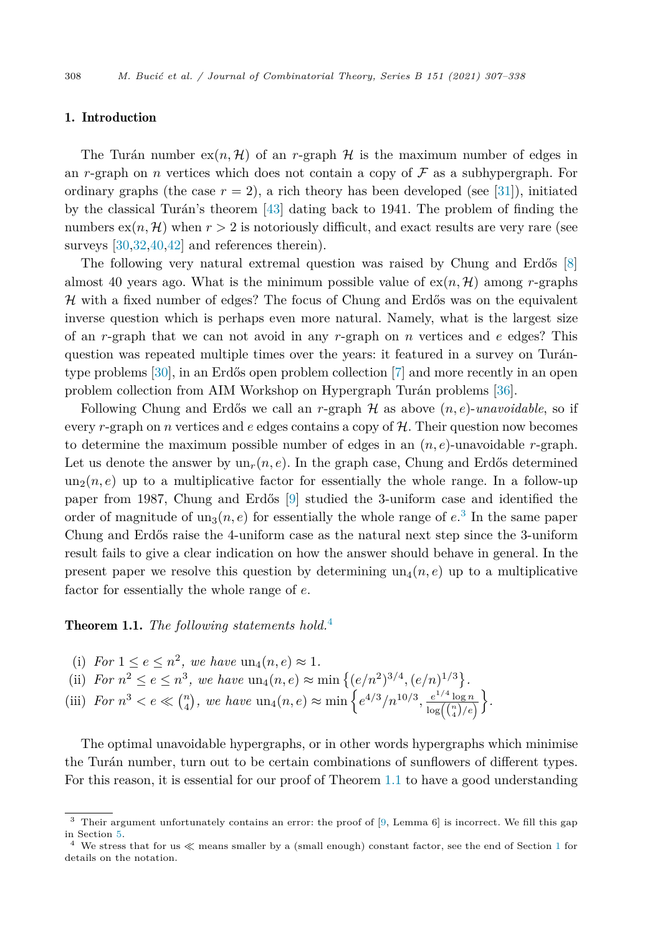#### <span id="page-1-0"></span>1. Introduction

The Turán number  $ex(n, \mathcal{H})$  of an *r*-graph  $\mathcal{H}$  is the maximum number of edges in an *r*-graph on *n* vertices which does not contain a copy of  $\mathcal F$  as a subhypergraph. For ordinary graphs (the case  $r = 2$ ), a rich theory has been developed (see [[31\]](#page-31-0)), initiated by the classical Turán's theorem [\[43](#page-31-0)] dating back to 1941. The problem of finding the numbers  $\exp(n, \mathcal{H})$  when  $r > 2$  is notoriously difficult, and exact results are very rare (see surveys [\[30](#page-31-0),[32,40,42](#page-31-0)] and references therein).

The following very natural extremal question was raised by Chung and Erdős [[8\]](#page-30-0) almost 40 years ago. What is the minimum possible value of  $ex(n, \mathcal{H})$  among *r*-graphs  $H$  with a fixed number of edges? The focus of Chung and Erdős was on the equivalent inverse question which is perhaps even more natural. Namely, what is the largest size of an *r*-graph that we can not avoid in any *r*-graph on *n* vertices and *e* edges? This question was repeated multiple times over the years: it featured in a survey on Turántype problems [[30\]](#page-31-0), in an Erdős open problem collection [\[7](#page-30-0)] and more recently in an open problem collection from AIM Workshop on Hypergraph Turán problems [\[36](#page-31-0)].

Following Chung and Erdős we call an *r*-graph  $H$  as above  $(n, e)$ -unavoidable, so if every *r*-graph on *n* vertices and *e* edges contains a copy of H. Their question now becomes to determine the maximum possible number of edges in an  $(n, e)$ -unavoidable *r*-graph. Let us denote the answer by  $un_r(n, e)$ . In the graph case, Chung and Erdős determined  $un_2(n, e)$  up to a multiplicative factor for essentially the whole range. In a follow-up paper from 1987, Chung and Erdős [\[9](#page-30-0)] studied the 3-uniform case and identified the order of magnitude of  $un_3(n, e)$  for essentially the whole range of  $e^3$ . In the same paper Chung and Erdős raise the 4-uniform case as the natural next step since the 3-uniform result fails to give a clear indication on how the answer should behave in general. In the present paper we resolve this question by determining  $un_4(n, e)$  up to a multiplicative factor for essentially the whole range of *e*.

#### Theorem 1.1. *The following statements hold.*<sup>4</sup>

- (i) For  $1 \leq e \leq n^2$ , we have  $un_4(n, e) \approx 1$ .
- (ii) *For*  $n^2 \le e \le n^3$ *, we have*  $\text{un}_4(n, e) \approx \min\left\{ (e/n^2)^{3/4}, (e/n)^{1/3} \right\}$ .
- (iii) *For*  $n^3 < e \ll {n \choose 4}$ , we have  $\text{un}_4(n, e) \approx \min\left\{e^{4/3}/n^{10/3}, \frac{e^{1/4}\log n}{\log({n \choose 4}/e)}\right\}$  *.*

The optimal unavoidable hypergraphs, or in other words hypergraphs which minimise the Turán number, turn out to be certain combinations of sunflowers of different types. For this reason, it is essential for our proof of Theorem 1.1 to have a good understanding

 $3$  Their argument unfortunately contains an error: the proof of [\[9,](#page-30-0) Lemma 6] is incorrect. We fill this gap in Section [5](#page-14-0).

<sup>&</sup>lt;sup>4</sup> We stress that for us  $\ll$  means smaller by a (small enough) constant factor, see the end of Section 1 for details on the notation.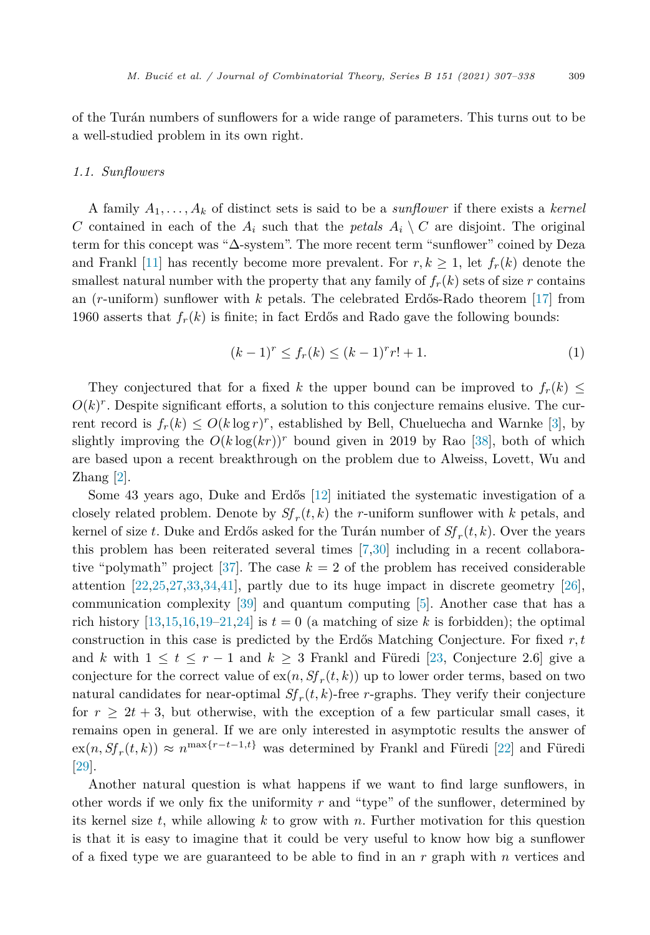of the Turán numbers of sunflowers for a wide range of parameters. This turns out to be a well-studied problem in its own right.

#### *1.1. Sunflowers*

A family *A*1*, ..., A<sup>k</sup>* of distinct sets is said to be a *sunflower* if there exists a *kernel C* contained in each of the  $A_i$  such that the *petals*  $A_i \setminus C$  are disjoint. The original term for this concept was "Δ-system". The more recent term "sunflower" coined by Deza and Frankl [\[11](#page-30-0)] has recently become more prevalent. For  $r, k \geq 1$ , let  $f_r(k)$  denote the smallest natural number with the property that any family of  $f_r(k)$  sets of size *r* contains an (*r*-uniform) sunflower with *k* petals. The celebrated Erdős-Rado theorem [\[17\]](#page-30-0) from 1960 asserts that  $f_r(k)$  is finite; in fact Erdős and Rado gave the following bounds:

$$
(k-1)^r \le f_r(k) \le (k-1)^r r! + 1.
$$
 (1)

They conjectured that for a fixed *k* the upper bound can be improved to  $f_r(k) \leq$  $O(k)^r$ . Despite significant efforts, a solution to this conjecture remains elusive. The current record is  $f_r(k) \leq O(k \log r)^r$ , established by Bell, Chueluecha and Warnke [\[3\]](#page-30-0), by slightly improving the  $O(k \log(kr))^r$  bound given in 2019 by Rao [[38\]](#page-31-0), both of which are based upon a recent breakthrough on the problem due to Alweiss, Lovett, Wu and Zhang [[2\]](#page-30-0).

Some 43 years ago, Duke and Erdős [\[12\]](#page-30-0) initiated the systematic investigation of a closely related problem. Denote by  $Sf_r(t, k)$  the *r*-uniform sunflower with *k* petals, and kernel of size *t*. Duke and Erdős asked for the Turán number of  $Sf_r(t, k)$ . Over the years this problem has been reiterated several times [[7](#page-30-0)[,30\]](#page-31-0) including in a recent collabora-tive "polymath" project [\[37](#page-31-0)]. The case  $k = 2$  of the problem has received considerable attention [\[22](#page-30-0)[,25](#page-31-0),[27,33,34,41](#page-31-0)], partly due to its huge impact in discrete geometry [\[26](#page-31-0)], communication complexity [[39\]](#page-31-0) and quantum computing [\[5](#page-30-0)]. Another case that has a rich history  $[13,15,16,19-21,24]$  $[13,15,16,19-21,24]$  is  $t=0$  (a matching of size k is forbidden); the optimal construction in this case is predicted by the Erdős Matching Conjecture. For fixed *r,t* and *k* with  $1 \le t \le r - 1$  and  $k \ge 3$  Frankl and Füredi [\[23](#page-30-0), Conjecture 2.6] give a conjecture for the correct value of  $ex(n, Sf<sub>r</sub>(t, k))$  up to lower order terms, based on two natural candidates for near-optimal  $Sf_r(t, k)$ -free *r*-graphs. They verify their conjecture for  $r \geq 2t + 3$ , but otherwise, with the exception of a few particular small cases, it remains open in general. If we are only interested in asymptotic results the answer of  $\exp(n, Sf_r(t, k)) \approx n^{\max\{r-t-1, t\}}$  was determined by Frankl and Füredi [[22\]](#page-30-0) and Füredi [\[29](#page-31-0)].

Another natural question is what happens if we want to find large sunflowers, in other words if we only fix the uniformity *r* and "type" of the sunflower, determined by its kernel size *t*, while allowing *k* to grow with *n*. Further motivation for this question is that it is easy to imagine that it could be very useful to know how big a sunflower of a fixed type we are guaranteed to be able to find in an *r* graph with *n* vertices and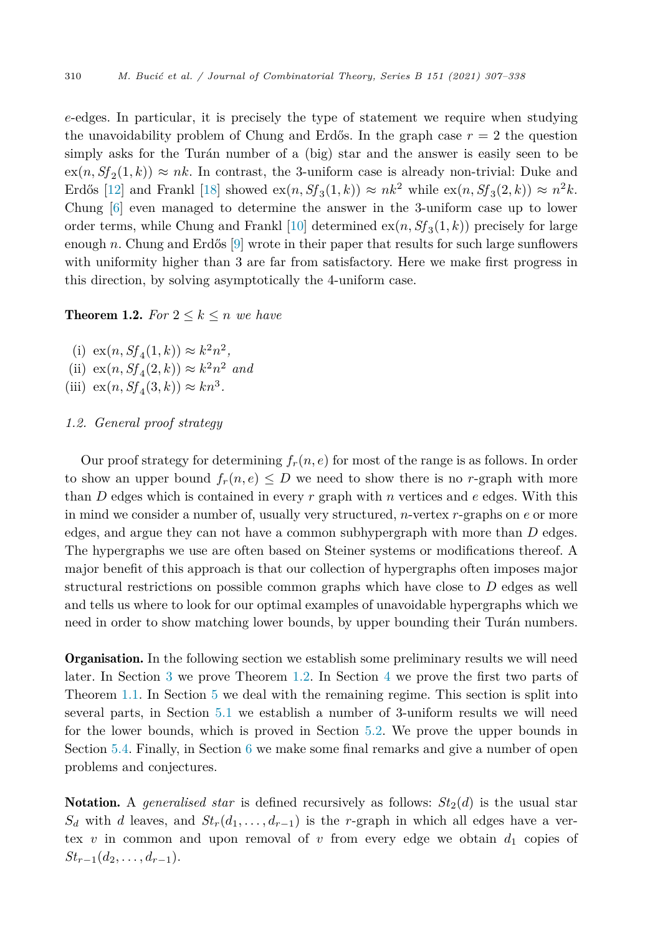<span id="page-3-0"></span>*e*-edges. In particular, it is precisely the type of statement we require when studying the unavoidability problem of Chung and Erdős. In the graph case  $r = 2$  the question simply asks for the Turán number of a (big) star and the answer is easily seen to be  $\operatorname{ex}(n, Sf_2(1,k)) \approx nk$ . In contrast, the 3-uniform case is already non-trivial: Duke and Erdős [[12\]](#page-30-0) and Frankl [\[18](#page-30-0)] showed  $ex(n, Sf_3(1, k)) \approx nk^2$  while  $ex(n, Sf_3(2, k)) \approx n^2k$ . Chung [[6\]](#page-30-0) even managed to determine the answer in the 3-uniform case up to lower order terms, while Chung and Frankl [\[10\]](#page-30-0) determined  $ex(n, Sf<sub>3</sub>(1, k))$  precisely for large enough *n*. Chung and Erdős [[9\]](#page-30-0) wrote in their paper that results for such large sunflowers with uniformity higher than 3 are far from satisfactory. Here we make first progress in this direction, by solving asymptotically the 4-uniform case.

**Theorem 1.2.** For  $2 \leq k \leq n$  we have

- (i)  $ex(n, Sf_{4}(1, k)) \approx k^{2}n^{2}$ ,
- $(ii)$   $ex(n, Sf_4(2, k)) \approx k^2 n^2$  *and*
- (iii)  $ex(n, Sf<sub>A</sub>(3, k)) \approx kn^3$ .

### *1.2. General proof strategy*

Our proof strategy for determining  $f_r(n, e)$  for most of the range is as follows. In order to show an upper bound  $f_r(n, e) \leq D$  we need to show there is no *r*-graph with more than *D* edges which is contained in every *r* graph with *n* vertices and *e* edges. With this in mind we consider a number of, usually very structured, *n*-vertex *r*-graphs on *e* or more edges, and argue they can not have a common subhypergraph with more than *D* edges. The hypergraphs we use are often based on Steiner systems or modifications thereof. A major benefit of this approach is that our collection of hypergraphs often imposes major structural restrictions on possible common graphs which have close to *D* edges as well and tells us where to look for our optimal examples of unavoidable hypergraphs which we need in order to show matching lower bounds, by upper bounding their Turán numbers.

Organisation. In the following section we establish some preliminary results we will need later. In Section [3](#page-6-0) we prove Theorem 1.2. In Section [4](#page-9-0) we prove the first two parts of Theorem [1.1](#page-1-0). In Section [5](#page-14-0) we deal with the remaining regime. This section is split into several parts, in Section [5.1](#page-15-0) we establish a number of 3-uniform results we will need for the lower bounds, which is proved in Section [5.2.](#page-21-0) We prove the upper bounds in Section [5.4](#page-25-0). Finally, in Section [6](#page-26-0) we make some final remarks and give a number of open problems and conjectures.

**Notation.** A *generalised star* is defined recursively as follows:  $St_2(d)$  is the usual star  $S_d$  with *d* leaves, and  $St_r(d_1, \ldots, d_{r-1})$  is the *r*-graph in which all edges have a vertex  $v$  in common and upon removal of  $v$  from every edge we obtain  $d_1$  copies of  $St_{r-1}(d_2, \ldots, d_{r-1}).$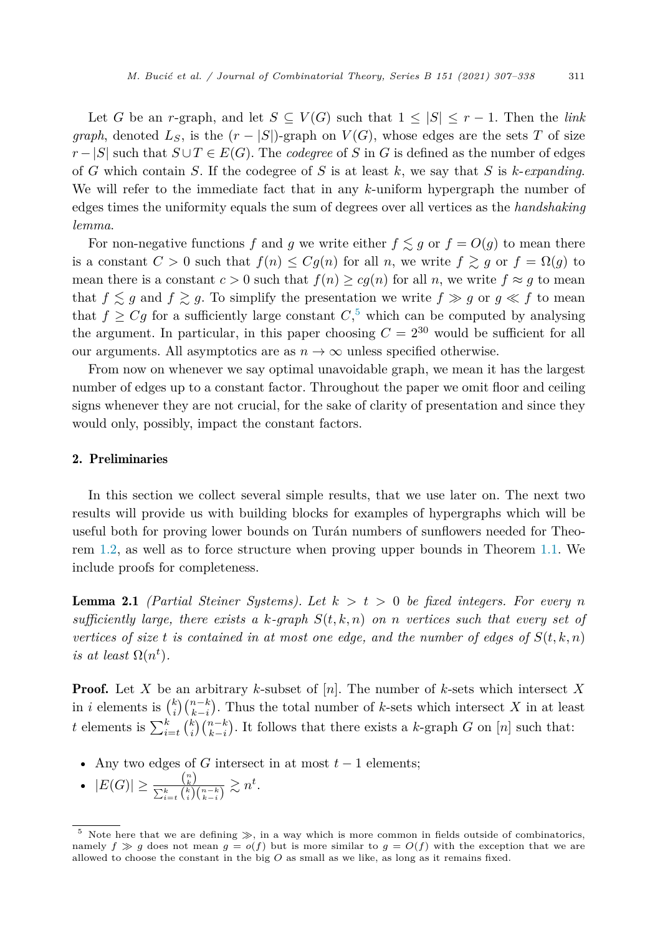<span id="page-4-0"></span>Let *G* be an *r*-graph, and let  $S \subseteq V(G)$  such that  $1 \leq |S| \leq r-1$ . Then the *link graph*, denoted  $L_S$ , is the  $(r - |S|)$ -graph on  $V(G)$ , whose edges are the sets *T* of size *r* − |*S*| such that  $S \cup T \in E(G)$ . The *codegree* of *S* in *G* is defined as the number of edges of *G* which contain *S*. If the codegree of *S* is at least *k*, we say that *S* is *k*-*expanding*. We will refer to the immediate fact that in any *k*-uniform hypergraph the number of edges times the uniformity equals the sum of degrees over all vertices as the *handshaking lemma*.

For non-negative functions  $f$  and  $g$  we write either  $f \lesssim g$  or  $f = O(g)$  to mean there is a constant  $C > 0$  such that  $f(n) \leq Cg(n)$  for all *n*, we write  $f \geq g$  or  $f = \Omega(g)$  to mean there is a constant  $c > 0$  such that  $f(n) \ge cg(n)$  for all *n*, we write  $f \approx g$  to mean that  $f \lesssim g$  and  $f \gtrsim g$ . To simplify the presentation we write  $f \gg g$  or  $g \ll f$  to mean that  $f \geq Cg$  for a sufficiently large constant  $C<sub>1</sub>$ <sup>5</sup> which can be computed by analysing the argument. In particular, in this paper choosing  $C = 2^{30}$  would be sufficient for all our arguments. All asymptotics are as  $n \to \infty$  unless specified otherwise.

From now on whenever we say optimal unavoidable graph, we mean it has the largest number of edges up to a constant factor. Throughout the paper we omit floor and ceiling signs whenever they are not crucial, for the sake of clarity of presentation and since they would only, possibly, impact the constant factors.

#### 2. Preliminaries

In this section we collect several simple results, that we use later on. The next two results will provide us with building blocks for examples of hypergraphs which will be useful both for proving lower bounds on Turán numbers of sunflowers needed for Theorem [1.2,](#page-3-0) as well as to force structure when proving upper bounds in Theorem [1.1](#page-1-0). We include proofs for completeness.

**Lemma 2.1** *(Partial Steiner Systems). Let*  $k > t > 0$  *be fixed integers. For every n sufficiently large, there exists a*  $k$ *-graph*  $S(t, k, n)$  *on n vertices such that every set of* vertices of size t is contained in at most one edge, and the number of edges of  $S(t, k, n)$ *is at least*  $\Omega(n^t)$ *.* 

Proof. Let *X* be an arbitrary *k*-subset of [*n*]. The number of *k*-sets which intersect *X* in *i* elements is  $\binom{k}{i}\binom{n-k}{k-i}$ . Thus the total number of *k*-sets which intersect *X* in at least t elements is  $\sum_{i=1}^{k}$  $\int_{i=t}^{k} {k \choose i} {n-k \choose k-i}$ . It follows that there exists a *k*-graph *G* on [*n*] such that:

- Any two edges of *G* intersect in at most  $t-1$  elements;
- $|E(G)| \geq \frac{\binom{n}{k}}{\sum_{k=1}^{k} \binom{k}{k}}$  $\frac{{k \choose k}}{\sum_{i=t}^{k} {k \choose i} {n-k \choose k-i}} \gtrsim n^t.$

 $5$  Note here that we are defining  $\gg$ , in a way which is more common in fields outside of combinatorics, namely  $f \geq g$  does not mean  $g = o(f)$  but is more similar to  $g = O(f)$  with the exception that we are allowed to choose the constant in the big *O* as small as we like, as long as it remains fixed.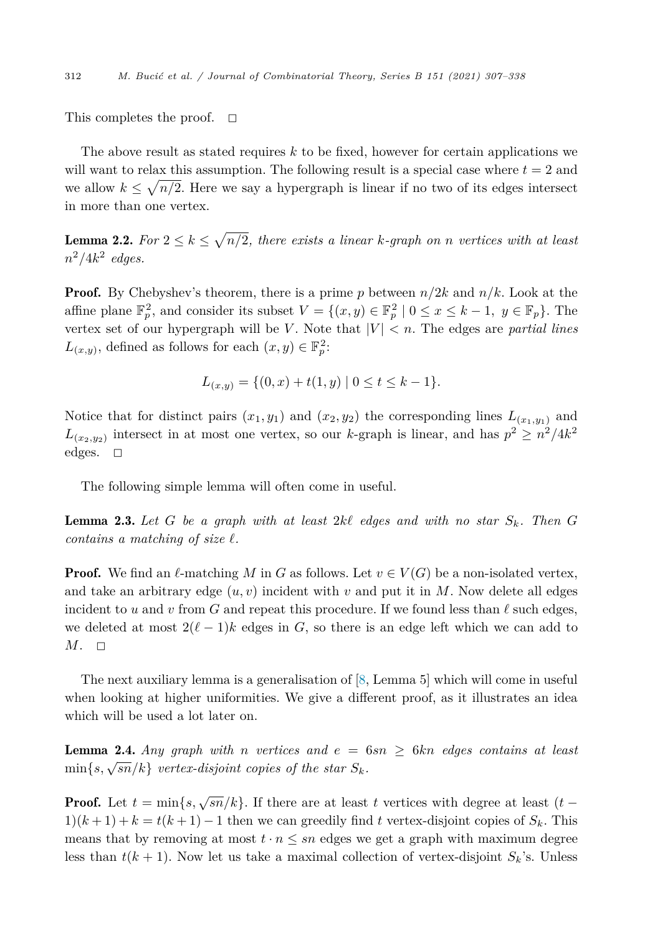<span id="page-5-0"></span>This completes the proof.  $\Box$ 

The above result as stated requires *k* to be fixed, however for certain applications we will want to relax this assumption. The following result is a special case where  $t = 2$  and we allow  $k \leq \sqrt{n/2}$ . Here we say a hypergraph is linear if no two of its edges intersect in more than one vertex.

**Lemma 2.2.** For  $2 \leq k \leq \sqrt{n/2}$ , there exists a linear k-graph on *n* vertices with at least  $n^2/4k^2$  *edges.* 

Proof. By Chebyshev's theorem, there is a prime *p* between *n/*2*k* and *n/k*. Look at the affine plane  $\mathbb{F}_p^2$ , and consider its subset  $V = \{(x, y) \in \mathbb{F}_p^2 \mid 0 \le x \le k - 1, y \in \mathbb{F}_p\}$ . The vertex set of our hypergraph will be *V*. Note that  $|V| < n$ . The edges are *partial lines*  $L_{(x,y)}$ , defined as follows for each  $(x, y) \in \mathbb{F}_p^2$ :

$$
L_{(x,y)} = \{(0,x) + t(1,y) \mid 0 \le t \le k - 1\}.
$$

Notice that for distinct pairs  $(x_1, y_1)$  and  $(x_2, y_2)$  the corresponding lines  $L_{(x_1, y_1)}$  and  $L_{(x_2,y_2)}$  intersect in at most one vertex, so our *k*-graph is linear, and has  $p^2 \ge n^2/4k^2$ edges.  $\Box$ 

The following simple lemma will often come in useful.

**Lemma 2.3.** Let  $G$  be a graph with at least  $2k\ell$  edges and with no star  $S_k$ . Then  $G$  $\mathbf{r}$  *contains*  $\mathbf{a}$  *matching* of size  $\ell$ .

**Proof.** We find an  $\ell$ -matching *M* in *G* as follows. Let  $v \in V(G)$  be a non-isolated vertex, and take an arbitrary edge  $(u, v)$  incident with  $v$  and put it in  $M$ . Now delete all edges incident to *u* and *v* from *G* and repeat this procedure. If we found less than  $\ell$  such edges, we deleted at most  $2(\ell-1)k$  edges in *G*, so there is an edge left which we can add to  $M. \square$ 

The next auxiliary lemma is a generalisation of [\[8](#page-30-0), Lemma 5] which will come in useful when looking at higher uniformities. We give a different proof, as it illustrates an idea which will be used a lot later on.

**Lemma 2.4.** Any graph with *n* vertices and  $e = 6sn \geq 6kn$  edges contains at least  $\min\{s, \sqrt{sn}/k\}$  *vertex-disjoint copies of the star*  $S_k$ *.* 

**Proof.** Let  $t = \min\{s, \sqrt{sn}/k\}$ . If there are at least  $t$  vertices with degree at least  $(t 1(k+1) + k = t(k+1) - 1$  then we can greedily find t vertex-disjoint copies of  $S_k$ . This means that by removing at most  $t \cdot n \leq sn$  edges we get a graph with maximum degree less than  $t(k + 1)$ . Now let us take a maximal collection of vertex-disjoint  $S_k$ 's. Unless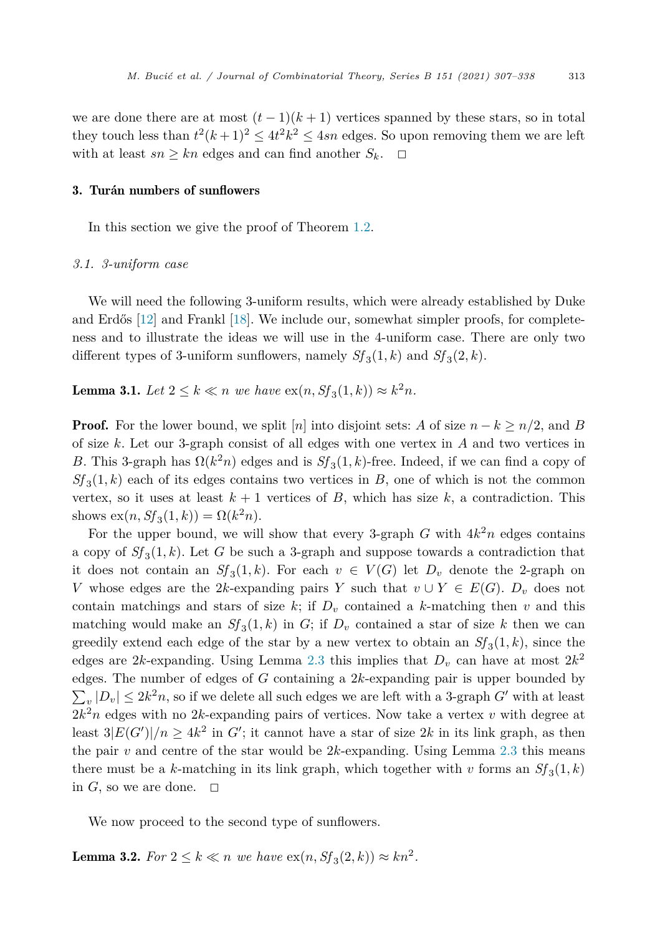<span id="page-6-0"></span>we are done there are at most  $(t-1)(k+1)$  vertices spanned by these stars, so in total they touch less than  $t^2(k+1)^2 \le 4t^2k^2 \le 4sn$  edges. So upon removing them we are left with at least  $sn \geq kn$  edges and can find another  $S_k$ .  $\Box$ 

#### 3. Turán numbers of sunflowers

In this section we give the proof of Theorem [1.2.](#page-3-0)

#### *3.1. 3-uniform case*

We will need the following 3-uniform results, which were already established by Duke and Erdős [[12\]](#page-30-0) and Frankl [\[18\]](#page-30-0). We include our, somewhat simpler proofs, for completeness and to illustrate the ideas we will use in the 4-uniform case. There are only two different types of 3-uniform sunflowers, namely  $Sf_3(1, k)$  and  $Sf_3(2, k)$ .

**Lemma 3.1.** *Let*  $2 \le k \le n$  *we have*  $ex(n, Sf_3(1, k)) ≈ k^2n$ *.* 

**Proof.** For the lower bound, we split [*n*] into disjoint sets: *A* of size  $n - k \geq n/2$ , and *B* of size *k*. Let our 3-graph consist of all edges with one vertex in *A* and two vertices in *B*. This 3-graph has  $\Omega(k^2 n)$  edges and is  $Sf_3(1, k)$ -free. Indeed, if we can find a copy of  $Sf_3(1,k)$  each of its edges contains two vertices in *B*, one of which is not the common vertex, so it uses at least  $k + 1$  vertices of  $B$ , which has size  $k$ , a contradiction. This shows  $ex(n, Sf_3(1, k)) = \Omega(k^2n)$ .

For the upper bound, we will show that every 3-graph  $G$  with  $4k<sup>2</sup>n$  edges contains a copy of  $S_f(3,1,k)$ . Let *G* be such a 3-graph and suppose towards a contradiction that it does not contain an  $Sf_3(1,k)$ . For each  $v \in V(G)$  let  $D_v$  denote the 2-graph on *V* whose edges are the 2*k*-expanding pairs *Y* such that  $v \cup Y \in E(G)$ .  $D_v$  does not contain matchings and stars of size  $k$ ; if  $D<sub>v</sub>$  contained a  $k$ -matching then  $v$  and this matching would make an  $Sf_3(1,k)$  in *G*; if  $D_v$  contained a star of size *k* then we can greedily extend each edge of the star by a new vertex to obtain an  $Sf_3(1, k)$ , since the edges are 2*k*-expanding. Using Lemma [2.3](#page-5-0) this implies that  $D_v$  can have at most  $2k^2$ edges. The number of edges of *G* containing a 2*k*-expanding pair is upper bounded by  $\sum_{v} |D_v| \leq 2k^2 n$ , so if we delete all such edges we are left with a 3-graph *G*' with at least  $2k^2n$  edges with no 2k-expanding pairs of vertices. Now take a vertex *v* with degree at least  $3|E(G')|/n \geq 4k^2$  in *G*'; it cannot have a star of size 2*k* in its link graph, as then the pair  $v$  and centre of the star would be  $2k$ -expanding. Using Lemma [2.3](#page-5-0) this means there must be a *k*-matching in its link graph, which together with *v* forms an  $Sf_3(1, k)$ in  $G$ , so we are done.  $\Box$ 

We now proceed to the second type of sunflowers.

**Lemma 3.2.** *For*  $2 \le k \le n$  *we have*  $ex(n, Sf_3(2, k)) ≈ kn^2$ *.*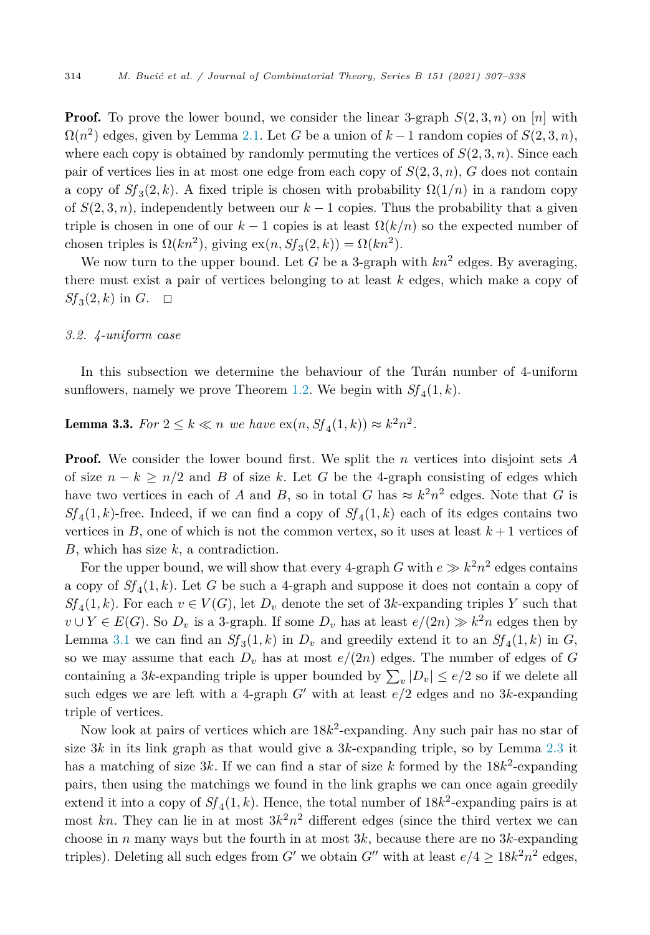**Proof.** To prove the lower bound, we consider the linear 3-graph  $S(2,3,n)$  on [*n*] with  $\Omega(n^2)$  edges, given by Lemma [2.1](#page-4-0). Let *G* be a union of  $k-1$  random copies of  $S(2,3,n)$ , where each copy is obtained by randomly permuting the vertices of  $S(2,3,n)$ . Since each pair of vertices lies in at most one edge from each copy of  $S(2,3,n)$ ,  $G$  does not contain a copy of  $Sf_3(2, k)$ . A fixed triple is chosen with probability  $\Omega(1/n)$  in a random copy of  $S(2,3,n)$ , independently between our  $k-1$  copies. Thus the probability that a given triple is chosen in one of our  $k-1$  copies is at least  $\Omega(k/n)$  so the expected number of chosen triples is  $\Omega(kn^2)$ , giving  $ex(n, Sf_3(2, k)) = \Omega(kn^2)$ .

We now turn to the upper bound. Let  $G$  be a 3-graph with  $kn^2$  edges. By averaging, there must exist a pair of vertices belonging to at least *k* edges, which make a copy of  $Sf_3(2, k)$  in  $G$ .  $\Box$ 

#### *3.2. 4-uniform case*

In this subsection we determine the behaviour of the Turán number of 4-uniform sunflowers, namely we prove Theorem [1.2.](#page-3-0) We begin with  $Sf_{4}(1, k)$ .

**Lemma 3.3.** *For*  $2 \le k \le n$  *we have*  $ex(n, Sf_4(1, k)) ≈ k^2n^2$ *.* 

Proof. We consider the lower bound first. We split the *n* vertices into disjoint sets *A* of size  $n - k \geq n/2$  and *B* of size *k*. Let *G* be the 4-graph consisting of edges which have two vertices in each of *A* and *B*, so in total *G* has  $\approx k^2n^2$  edges. Note that *G* is  $Sf_4(1, k)$ -free. Indeed, if we can find a copy of  $Sf_4(1, k)$  each of its edges contains two vertices in *B*, one of which is not the common vertex, so it uses at least  $k+1$  vertices of *B*, which has size *k*, a contradiction.

For the upper bound, we will show that every 4-graph *G* with  $e \gg k^2 n^2$  edges contains a copy of  $Sf_4(1,k)$ . Let G be such a 4-graph and suppose it does not contain a copy of  $Sf_4(1,k)$ . For each  $v \in V(G)$ , let  $D_v$  denote the set of 3*k*-expanding triples *Y* such that *v* ∪ *Y* ∈ *E*(*G*). So  $D_v$  is a 3-graph. If some  $D_v$  has at least  $e/(2n) \gg k^2n$  edges then by Lemma [3.1](#page-6-0) we can find an  $Sf_3(1,k)$  in  $D_v$  and greedily extend it to an  $Sf_4(1,k)$  in  $G$ , so we may assume that each  $D_v$  has at most  $e/(2n)$  edges. The number of edges of *G* containing a 3*k*-expanding triple is upper bounded by  $\sum_{v} |D_v| \le e/2$  so if we delete all such edges we are left with a 4-graph  $G'$  with at least  $e/2$  edges and no 3*k*-expanding triple of vertices.

Now look at pairs of vertices which are 18*k*<sup>2</sup>-expanding. Any such pair has no star of size 3*k* in its link graph as that would give a 3*k*-expanding triple, so by Lemma [2.3](#page-5-0) it has a matching of size  $3k$ . If we can find a star of size k formed by the  $18k^2$ -expanding pairs, then using the matchings we found in the link graphs we can once again greedily extend it into a copy of  $Sf_4(1, k)$ . Hence, the total number of  $18k^2$ -expanding pairs is at most kn. They can lie in at most  $3k^2n^2$  different edges (since the third vertex we can choose in *n* many ways but the fourth in at most  $3k$ , because there are no  $3k$ -expanding triples). Deleting all such edges from *G'* we obtain *G''* with at least  $e/4 \ge 18k^2n^2$  edges,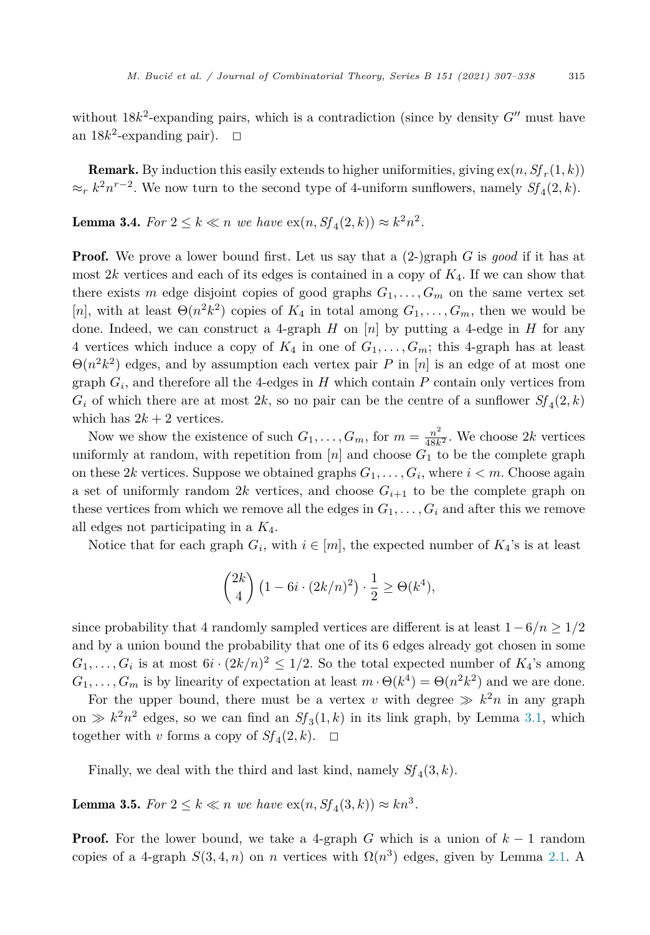without  $18k^2$ -expanding pairs, which is a contradiction (since by density  $G''$  must have an  $18k^2$ -expanding pair).  $\Box$ 

**Remark.** By induction this easily extends to higher uniformities, giving  $ex(n, Sf_r(1, k))$  $\approx r k^2 n^{r-2}$ . We now turn to the second type of 4-uniform sunflowers, namely  $Sf_4(2, k)$ .

**Lemma 3.4.** *For*  $2 \le k \le n$  *we have*  $ex(n, Sf_4(2, k)) ≈ k^2n^2$ *.* 

**Proof.** We prove a lower bound first. Let us say that a  $(2-)$ graph *G* is good if it has at most  $2k$  vertices and each of its edges is contained in a copy of  $K_4$ . If we can show that there exists *m* edge disjoint copies of good graphs  $G_1, \ldots, G_m$  on the same vertex set [*n*], with at least  $\Theta(n^2k^2)$  copies of  $K_4$  in total among  $G_1, \ldots, G_m$ , then we would be done. Indeed, we can construct a 4-graph *H* on  $[n]$  by putting a 4-edge in *H* for any 4 vertices which induce a copy of  $K_4$  in one of  $G_1, \ldots, G_m$ ; this 4-graph has at least  $\Theta(n^2k^2)$  edges, and by assumption each vertex pair *P* in [*n*] is an edge of at most one graph  $G_i$ , and therefore all the 4-edges in  $H$  which contain  $P$  contain only vertices from  $G_i$  of which there are at most 2k, so no pair can be the centre of a sunflower  $Sf_A(2,k)$ which has  $2k + 2$  vertices.

Now we show the existence of such  $G_1, \ldots, G_m$ , for  $m = \frac{n^2}{48k^2}$ . We choose 2*k* vertices uniformly at random, with repetition from  $[n]$  and choose  $G_1$  to be the complete graph on these 2*k* vertices. Suppose we obtained graphs  $G_1, \ldots, G_i$ , where  $i < m$ . Choose again a set of uniformly random 2*k* vertices, and choose  $G_{i+1}$  to be the complete graph on these vertices from which we remove all the edges in  $G_1, \ldots, G_i$  and after this we remove all edges not participating in a *K*4.

Notice that for each graph  $G_i$ , with  $i \in [m]$ , the expected number of  $K_4$ 's is at least

$$
\binom{2k}{4} \left(1 - 6i \cdot (2k/n)^2\right) \cdot \frac{1}{2} \ge \Theta(k^4),
$$

since probability that 4 randomly sampled vertices are different is at least  $1-6/n \geq 1/2$ and by a union bound the probability that one of its 6 edges already got chosen in some  $G_1, \ldots, G_i$  is at most  $6i \cdot (2k/n)^2 \leq 1/2$ . So the total expected number of  $K_4$ 's among  $G_1, \ldots, G_m$  is by linearity of expectation at least  $m \cdot \Theta(k^4) = \Theta(n^2 k^2)$  and we are done.

For the upper bound, there must be a vertex *v* with degree  $\gg k^2n$  in any graph on  $\gg k^2n^2$  edges, so we can find an  $Sf_3(1,k)$  in its link graph, by Lemma [3.1,](#page-6-0) which together with *v* forms a copy of  $Sf_4(2, k)$ .  $\Box$ 

Finally, we deal with the third and last kind, namely  $Sf_A(3, k)$ .

**Lemma 3.5.** *For*  $2 \le k \le n$  *we have*  $\text{ex}(n, Sf_4(3, k)) \approx kn^3$ .

**Proof.** For the lower bound, we take a 4-graph *G* which is a union of  $k-1$  random copies of a 4-graph  $S(3, 4, n)$  on *n* vertices with  $\Omega(n^3)$  edges, given by Lemma [2.1.](#page-4-0) A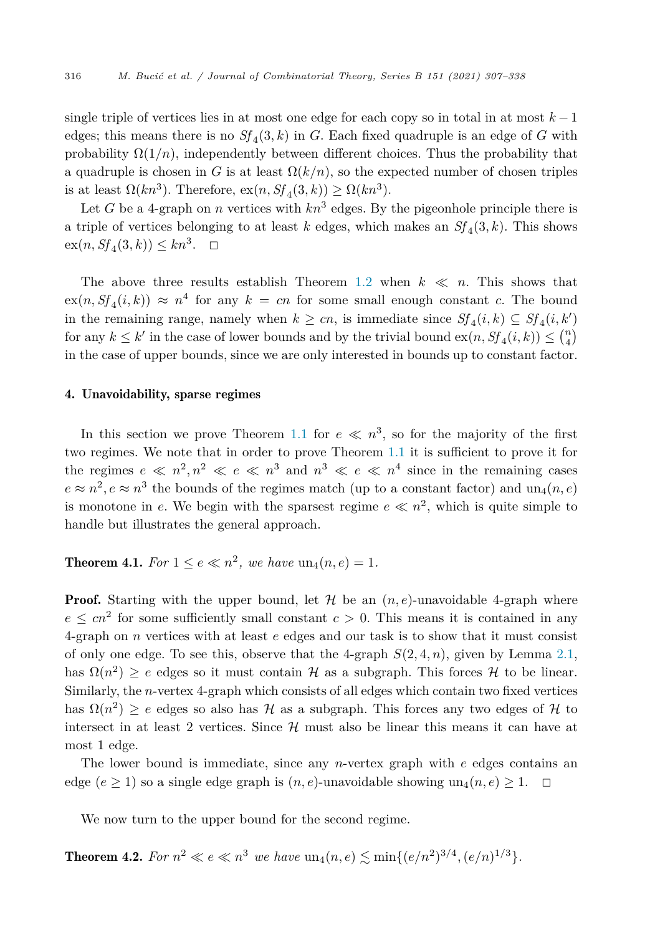<span id="page-9-0"></span>single triple of vertices lies in at most one edge for each copy so in total in at most *k* − 1 edges; this means there is no  $Sf_A(3,k)$  in *G*. Each fixed quadruple is an edge of *G* with probability  $\Omega(1/n)$ , independently between different choices. Thus the probability that a quadruple is chosen in *G* is at least  $\Omega(k/n)$ , so the expected number of chosen triples is at least  $\Omega(kn^3)$ . Therefore,  $\exp(n, Sf_A(3, k)) \geq \Omega(kn^3)$ .

Let *G* be a 4-graph on *n* vertices with  $kn^3$  edges. By the pigeonhole principle there is a triple of vertices belonging to at least  $k$  edges, which makes an  $Sf_4(3, k)$ . This shows  $ex(n, Sf_4(3, k)) \leq kn^3. \quad \Box$ 

The above three results establish Theorem [1.2](#page-3-0) when  $k \ll n$ . This shows that  $ex(n, Sf<sub>4</sub>(i, k)) \approx n<sup>4</sup>$  for any  $k = cn$  for some small enough constant *c*. The bound in the remaining range, namely when  $k \geq cn$ , is immediate since  $Sf_4(i,k) \subseteq Sf_4(i,k')$ for any  $k \leq k'$  in the case of lower bounds and by the trivial bound  $ex(n, Sf_4(i, k)) \leq {n \choose 4}$ in the case of upper bounds, since we are only interested in bounds up to constant factor.

#### 4. Unavoidability, sparse regimes

In this section we prove Theorem [1.1](#page-1-0) for  $e \ll n^3$ , so for the majority of the first two regimes. We note that in order to prove Theorem [1.1](#page-1-0) it is sufficient to prove it for the regimes  $e \ll n^2, n^2 \ll e \ll n^3$  and  $n^3 \ll e \ll n^4$  since in the remaining cases  $e \approx n^2$ ,  $e \approx n^3$  the bounds of the regimes match (up to a constant factor) and un<sub>4</sub>(*n*, *e*) is monotone in *e*. We begin with the sparsest regime  $e \ll n^2$ , which is quite simple to handle but illustrates the general approach.

**Theorem 4.1.** *For*  $1 \le e \le n^2$ , *we have*  $un_4(n, e) = 1$ *.* 

**Proof.** Starting with the upper bound, let  $\mathcal{H}$  be an  $(n, e)$ -unavoidable 4-graph where  $e \leq cn^2$  for some sufficiently small constant  $c > 0$ . This means it is contained in any 4-graph on *n* vertices with at least *e* edges and our task is to show that it must consist of only one edge. To see this, observe that the 4-graph  $S(2, 4, n)$ , given by Lemma [2.1,](#page-4-0) has  $\Omega(n^2) \geq e$  edges so it must contain H as a subgraph. This forces H to be linear. Similarly, the *n*-vertex 4-graph which consists of all edges which contain two fixed vertices has  $\Omega(n^2) \ge e$  edges so also has  $\mathcal H$  as a subgraph. This forces any two edges of  $\mathcal H$  to intersect in at least 2 vertices. Since  $\mathcal{H}$  must also be linear this means it can have at most 1 edge.

The lower bound is immediate, since any *n*-vertex graph with *e* edges contains an edge  $(e \ge 1)$  so a single edge graph is  $(n, e)$ -unavoidable showing un<sub>4</sub> $(n, e) \ge 1$ .  $\Box$ 

We now turn to the upper bound for the second regime.

**Theorem 4.2.** For  $n^2 \ll e \ll n^3$  we have  $\text{un}_4(n, e) \lesssim \text{min}\{(e/n^2)^{3/4}, (e/n)^{1/3}\}.$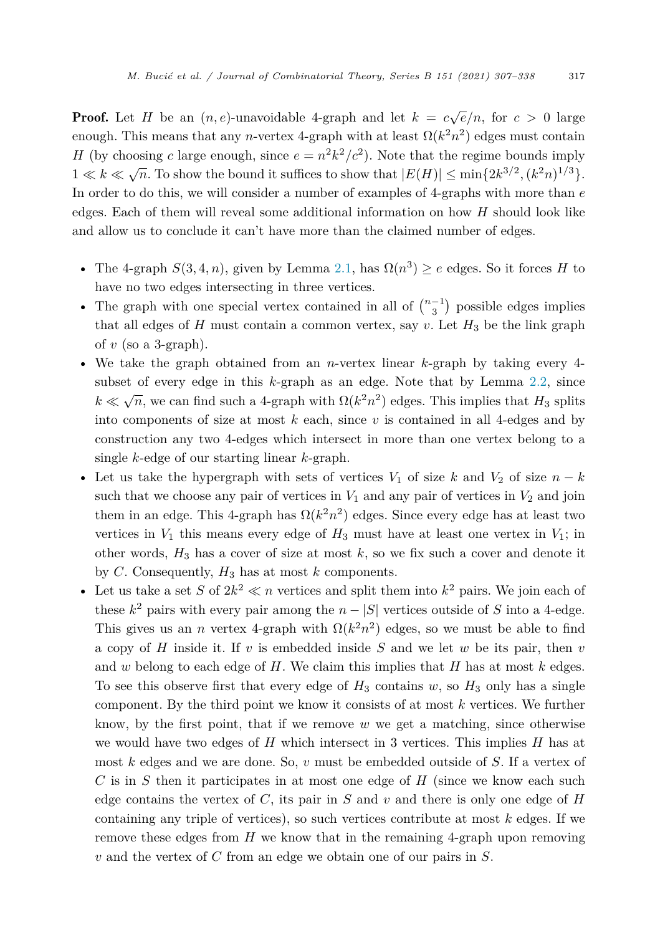**Proof.** Let *H* be an  $(n, e)$ -unavoidable 4-graph and let  $k = c\sqrt{e}/n$ , for  $c > 0$  large enough. This means that any *n*-vertex 4-graph with at least  $\Omega(k^2 n^2)$  edges must contain *H* (by choosing *c* large enough, since  $e = n^2k^2/c^2$ ). Note that the regime bounds imply  $1 \ll k \ll \sqrt{n}$ . To show the bound it suffices to show that  $|E(H)| \le \min\{2k^{3/2}, (k^2n)^{1/3}\}.$ In order to do this, we will consider a number of examples of 4-graphs with more than *e* edges. Each of them will reveal some additional information on how *H* should look like and allow us to conclude it can't have more than the claimed number of edges.

- The 4-graph  $S(3, 4, n)$ , given by Lemma [2.1,](#page-4-0) has  $\Omega(n^3) \ge e$  edges. So it forces *H* to have no two edges intersecting in three vertices.
- The graph with one special vertex contained in all of  $\binom{n-1}{3}$  possible edges implies that all edges of  $H$  must contain a common vertex, say  $v$ . Let  $H_3$  be the link graph of  $v$  (so a 3-graph).
- We take the graph obtained from an *n*-vertex linear *k*-graph by taking every 4 subset of every edge in this *k*-graph as an edge. Note that by Lemma [2.2](#page-5-0), since  $k \ll \sqrt{n}$ , we can find such a 4-graph with  $\Omega(k^2 n^2)$  edges. This implies that  $H_3$  splits into components of size at most  $k$  each, since  $v$  is contained in all 4-edges and by construction any two 4-edges which intersect in more than one vertex belong to a single *k*-edge of our starting linear *k*-graph.
- Let us take the hypergraph with sets of vertices  $V_1$  of size  $k$  and  $V_2$  of size  $n k$ such that we choose any pair of vertices in  $V_1$  and any pair of vertices in  $V_2$  and join them in an edge. This 4-graph has  $\Omega(k^2 n^2)$  edges. Since every edge has at least two vertices in  $V_1$  this means every edge of  $H_3$  must have at least one vertex in  $V_1$ ; in other words,  $H_3$  has a cover of size at most  $k$ , so we fix such a cover and denote it by *C*. Consequently,  $H_3$  has at most  $k$  components.
- Let us take a set S of  $2k^2 \ll n$  vertices and split them into  $k^2$  pairs. We join each of these  $k^2$  pairs with every pair among the  $n - |S|$  vertices outside of *S* into a 4-edge. This gives us an *n* vertex 4-graph with  $\Omega(k^2 n^2)$  edges, so we must be able to find a copy of *H* inside it. If *v* is embedded inside *S* and we let *w* be its pair, then *v* and *w* belong to each edge of *H*. We claim this implies that *H* has at most *k* edges. To see this observe first that every edge of  $H_3$  contains  $w$ , so  $H_3$  only has a single component. By the third point we know it consists of at most *k* vertices. We further know, by the first point, that if we remove *w* we get a matching, since otherwise we would have two edges of *H* which intersect in 3 vertices. This implies *H* has at most *k* edges and we are done. So, *v* must be embedded outside of *S*. If a vertex of *C* is in *S* then it participates in at most one edge of *H* (since we know each such edge contains the vertex of *C*, its pair in *S* and *v* and there is only one edge of *H* containing any triple of vertices), so such vertices contribute at most *k* edges. If we remove these edges from *H* we know that in the remaining 4-graph upon removing *v* and the vertex of *C* from an edge we obtain one of our pairs in *S*.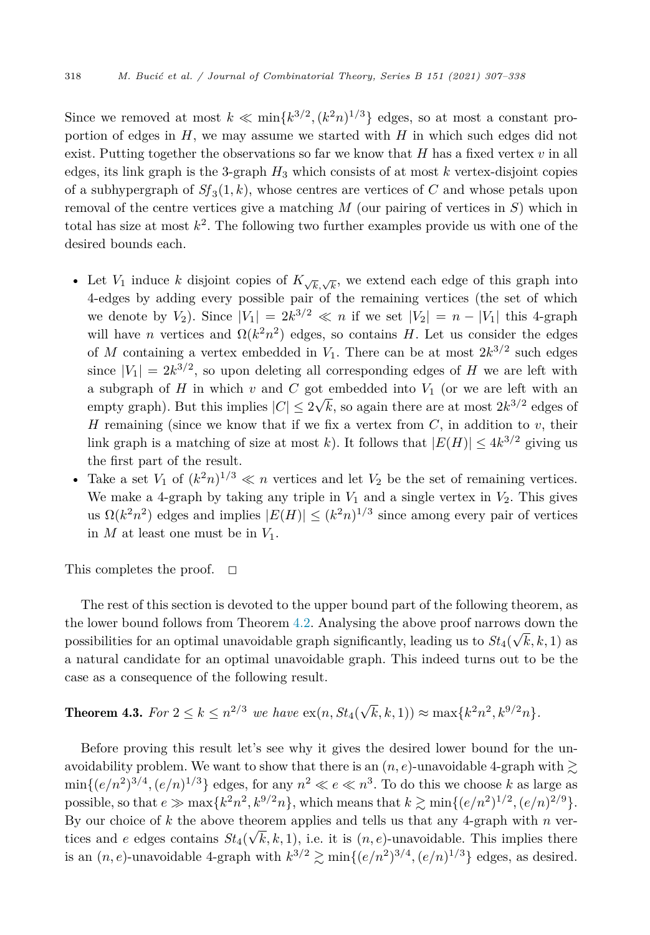<span id="page-11-0"></span>Since we removed at most  $k \ll \min\{k^{3/2}, (k^2n)^{1/3}\}\)$  edges, so at most a constant proportion of edges in *H*, we may assume we started with *H* in which such edges did not exist. Putting together the observations so far we know that  $H$  has a fixed vertex  $v$  in all edges, its link graph is the 3-graph *H*<sup>3</sup> which consists of at most *k* vertex-disjoint copies of a subhypergraph of  $Sf_3(1, k)$ , whose centres are vertices of *C* and whose petals upon removal of the centre vertices give a matching *M* (our pairing of vertices in *S*) which in total has size at most  $k^2$ . The following two further examples provide us with one of the desired bounds each.

- Let  $V_1$  induce *k* disjoint copies of  $K_{\sqrt{k},\sqrt{k}}$ , we extend each edge of this graph into 4-edges by adding every possible pair of the remaining vertices (the set of which we denote by *V*<sub>2</sub>). Since  $|V_1| = 2k^{3/2} \ll n$  if we set  $|V_2| = n - |V_1|$  this 4-graph will have *n* vertices and  $\Omega(k^2 n^2)$  edges, so contains *H*. Let us consider the edges of *M* containing a vertex embedded in  $V_1$ . There can be at most  $2k^{3/2}$  such edges since  $|V_1| = 2k^{3/2}$ , so upon deleting all corresponding edges of *H* we are left with a subgraph of  $H$  in which  $v$  and  $C$  got embedded into  $V_1$  (or we are left with an empty graph). But this implies  $|C| \leq 2\sqrt{k}$ , so again there are at most  $2k^{3/2}$  edges of *H* remaining (since we know that if we fix a vertex from *C*, in addition to *v*, their link graph is a matching of size at most *k*). It follows that  $|E(H)| \leq 4k^{3/2}$  giving us the first part of the result.
- Take a set  $V_1$  of  $(k^2n)^{1/3} \ll n$  vertices and let  $V_2$  be the set of remaining vertices. We make a 4-graph by taking any triple in  $V_1$  and a single vertex in  $V_2$ . This gives us  $\Omega(k^2 n^2)$  edges and implies  $|E(H)| \leq (k^2 n)^{1/3}$  since among every pair of vertices in  $M$  at least one must be in  $V_1$ .

This completes the proof. - $\Box$ 

The rest of this section is devoted to the upper bound part of the following theorem, as the lower bound follows from Theorem [4.2.](#page-9-0) Analysing the above proof narrows down the possibilities for an optimal unavoidable graph significantly, leading us to  $St_4(\sqrt{k}, k, 1)$  as a natural candidate for an optimal unavoidable graph. This indeed turns out to be the case as a consequence of the following result.

# **Theorem 4.3.** For  $2 \le k \le n^{2/3}$  we have  $\exp(n, St_4(\sqrt{k}, k, 1)) \approx \max\{k^2 n^2, k^{9/2} n\}.$

Before proving this result let's see why it gives the desired lower bound for the unavoidability problem. We want to show that there is an  $(n, e)$ -unavoidable 4-graph with  $\gtrsim$  $\min\{(e/n^2)^{3/4}, (e/n)^{1/3}\}\)$  edges, for any  $n^2 \ll e \ll n^3$ . To do this we choose *k* as large as possible, so that  $e \gg \max\{k^2n^2, k^{9/2}n\}$ , which means that  $k \gtrsim \min\{(e/n^2)^{1/2}, (e/n)^{2/9}\}.$ By our choice of *k* the above theorem applies and tells us that any 4-graph with *n* vertices and *e* edges contains  $St_4(\sqrt{k}, k, 1)$ , i.e. it is  $(n, e)$ -unavoidable. This implies there is an  $(n, e)$ -unavoidable 4-graph with  $k^{3/2} \ge \min\{(e/n^2)^{3/4}, (e/n)^{1/3}\}\)$  edges, as desired.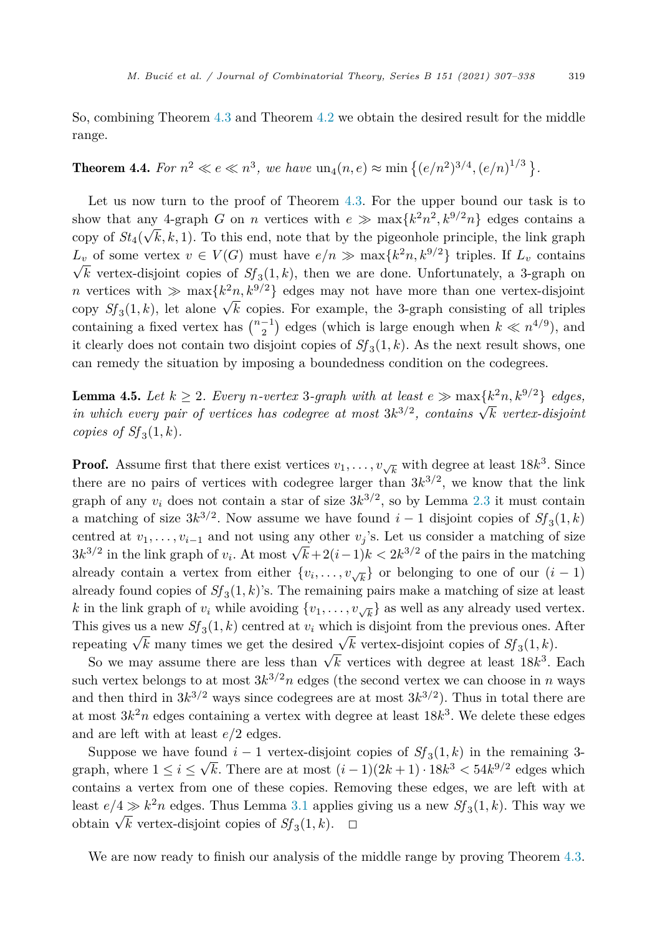<span id="page-12-0"></span>So, combining Theorem [4.3](#page-11-0) and Theorem [4.2](#page-9-0) we obtain the desired result for the middle range.

## **Theorem 4.4.** For  $n^2 \ll e \ll n^3$ , we have  $\text{un}_4(n, e) \approx \min\{(e/n^2)^{3/4}, (e/n)^{1/3}\}$ .

Let us now turn to the proof of Theorem [4.3.](#page-11-0) For the upper bound our task is to show that any 4-graph *G* on *n* vertices with  $e \gg \max\{k^2n^2, k^{9/2}n\}$  edges contains a copy of  $St_4(\sqrt{k}, k, 1)$ . To this end, note that by the pigeonhole principle, the link graph *L*<sup>*v*</sup> of some vertex  $v \in V(G)$  must have  $e/n \gg \max\{k^2 n, k^{9/2}\}\)$  triples. If  $L_v$  contains  $\sqrt{k}$  vertex-disjoint copies of  $Sf_3(1,k)$ , then we are done. Unfortunately, a 3-graph on *n* vertices with  $\gg$  max $\{k^2n, k^{9/2}\}$  edges may not have more than one vertex-disjoint copy  $Sf_3(1,k)$ , let alone  $\sqrt{k}$  copies. For example, the 3-graph consisting of all triples containing a fixed vertex has  $\binom{n-1}{2}$  edges (which is large enough when  $k \ll n^{4/9}$ ), and it clearly does not contain two disjoint copies of  $S_f(1,k)$ . As the next result shows, one can remedy the situation by imposing a boundedness condition on the codegrees.

**Lemma 4.5.** *Let*  $k \geq 2$ *. Every n-vertex* 3*-graph with at least*  $e \gg \max\{k^2n, k^{9/2}\}$  *edges, in* which every pair of vertices has codegree at most  $3k^{3/2}$ , *contains*  $\sqrt{k}$  *vertex-disjoint copies of*  $Sf_3(1, k)$ *.* 

**Proof.** Assume first that there exist vertices  $v_1, \ldots, v_{\sqrt{k}}$  with degree at least 18 $k^3$ . Since there are no pairs of vertices with codegree larger than  $3k^{3/2}$ , we know that the link graph of any  $v_i$  does not contain a star of size  $3k^{3/2}$ , so by Lemma [2.3](#page-5-0) it must contain a matching of size  $3k^{3/2}$ . Now assume we have found *i* − 1 disjoint copies of  $Sf_3(1, k)$ centred at  $v_1, \ldots, v_{i-1}$  and not using any other  $v_j$ 's. Let us consider a matching of size  $3k^{3/2}$  in the link graph of *v<sub>i</sub>*. At most  $\sqrt{k}+2(i-1)k < 2k^{3/2}$  of the pairs in the matching already contain a vertex from either  $\{v_i, \ldots, v_{\sqrt{k}}\}$  or belonging to one of our  $(i-1)$ already found copies of  $Sf_3(1,k)$ 's. The remaining pairs make a matching of size at least *k* in the link graph of  $v_i$  while avoiding  $\{v_1, \ldots, v_{\sqrt{k}}\}$  as well as any already used vertex. This gives us a new  $Sf_3(1,k)$  centred at  $v_i$  which is disjoint from the previous ones. After repeating  $\sqrt{k}$  many times we get the desired  $\sqrt{k}$  vertex-disjoint copies of  $Sf_3(1, k)$ .

So we may assume there are less than  $\sqrt{k}$  vertices with degree at least 18 $k^3$ . Each such vertex belongs to at most  $3k^{3/2}n$  edges (the second vertex we can choose in *n* ways and then third in  $3k^{3/2}$  ways since codegrees are at most  $3k^{3/2}$ ). Thus in total there are at most  $3k^2n$  edges containing a vertex with degree at least  $18k^3$ . We delete these edges and are left with at least *e/*2 edges.

Suppose we have found  $i - 1$  vertex-disjoint copies of  $Sf_3(1, k)$  in the remaining 3graph, where  $1 \leq i \leq \sqrt{k}$ . There are at most  $(i-1)(2k+1) \cdot 18k^3 < 54k^{9/2}$  edges which contains a vertex from one of these copies. Removing these edges, we are left with at least  $e/4 \gg k^2 n$  edges. Thus Lemma [3.1](#page-6-0) applies giving us a new  $Sf_3(1, k)$ . This way we obtain  $\sqrt{k}$  vertex-disjoint copies of *Sf*<sub>3</sub>(1, *k*). □

We are now ready to finish our analysis of the middle range by proving Theorem  $4.3$ .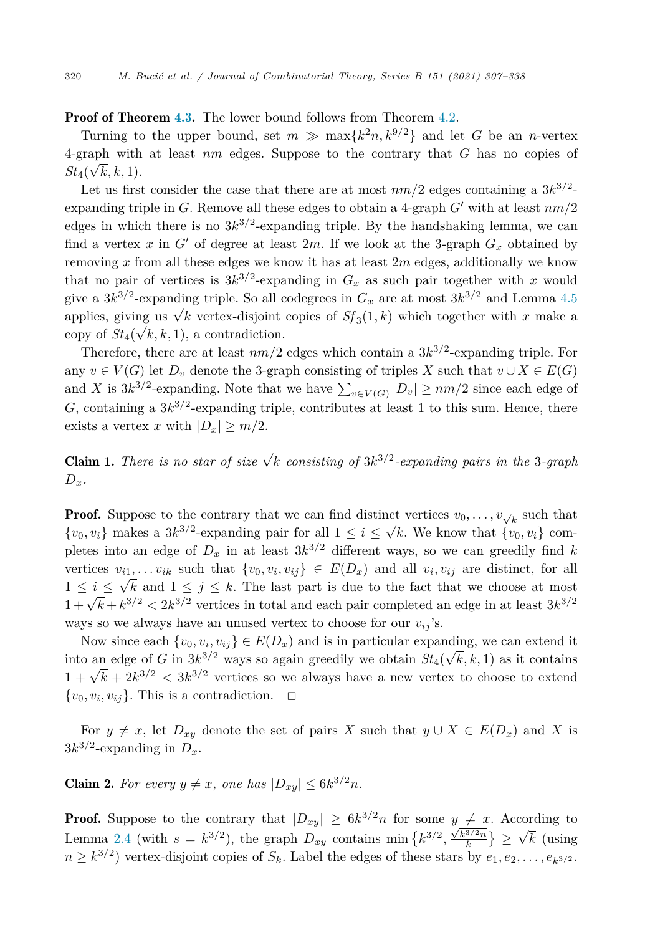#### <span id="page-13-0"></span>**Proof of Theorem [4.3.](#page-11-0)** The lower bound follows from Theorem [4.2](#page-9-0).

Turning to the upper bound, set  $m \gg \max\{k^2 n, k^{9/2}\}\$  and let *G* be an *n*-vertex 4-graph with at least *nm* edges. Suppose to the contrary that *G* has no copies of  $St_4(\sqrt{k}, k, 1).$ 

Let us first consider the case that there are at most  $nm/2$  edges containing a  $3k^{3/2}$ expanding triple in *G*. Remove all these edges to obtain a 4-graph  $G'$  with at least  $nm/2$ edges in which there is no  $3k^{3/2}$ -expanding triple. By the handshaking lemma, we can find a vertex x in  $G'$  of degree at least 2m. If we look at the 3-graph  $G_x$  obtained by removing *x* from all these edges we know it has at least 2*m* edges, additionally we know that no pair of vertices is  $3k^{3/2}$ -expanding in  $G_x$  as such pair together with *x* would give a  $3k^{3/2}$ -expanding triple. So all codegrees in  $G_x$  are at most  $3k^{3/2}$  and Lemma [4.5](#page-12-0) applies, giving us  $\sqrt{k}$  vertex-disjoint copies of  $Sf_3(1, k)$  which together with *x* make a copy of  $St_4(\sqrt{k}, k, 1)$ , a contradiction.

Therefore, there are at least  $nm/2$  edges which contain a  $3k^{3/2}$ -expanding triple. For any  $v \in V(G)$  let  $D_v$  denote the 3-graph consisting of triples *X* such that  $v \cup X \in E(G)$ and *X* is  $3k^{3/2}$ -expanding. Note that we have  $\sum_{v \in V(G)} |D_v| \ge nm/2$  since each edge of *G*, containing a  $3k^{3/2}$ -expanding triple, contributes at least 1 to this sum. Hence, there exists a vertex *x* with  $|D_x| \geq m/2$ .

**Claim 1.** There is no star of size  $\sqrt{k}$  consisting of  $3k^{3/2}$ -expanding pairs in the 3-graph  $D_x$ .

**Proof.** Suppose to the contrary that we can find distinct vertices  $v_0, \ldots, v_{\sqrt{k}}$  such that  $\{v_0, v_i\}$  makes a  $3k^{3/2}$ -expanding pair for all  $1 \leq i \leq \sqrt{k}$ . We know that  $\{v_0, v_i\}$  completes into an edge of  $D_x$  in at least  $3k^{3/2}$  different ways, so we can greedily find *k* vertices  $v_{i1}, \ldots v_{ik}$  such that  $\{v_0, v_i, v_{ij}\} \in E(D_x)$  and all  $v_i, v_{ij}$  are distinct, for all  $1 \leq i \leq \sqrt{k}$  and  $1 \leq j \leq k$ . The last part is due to the fact that we choose at most  $1 + \sqrt{k} + k^{3/2} < 2k^{3/2}$  vertices in total and each pair completed an edge in at least  $3k^{3/2}$ ways so we always have an unused vertex to choose for our  $v_{ij}$ 's.

Now since each  $\{v_0, v_i, v_{ij}\} \in E(D_x)$  and is in particular expanding, we can extend it into an edge of *G* in  $3k^{3/2}$  ways so again greedily we obtain  $St_4(\sqrt{k}, k, 1)$  as it contains  $1 + \sqrt{k} + 2k^{3/2} < 3k^{3/2}$  vertices so we always have a new vertex to choose to extend  $\{v_0, v_i, v_{ij}\}$ . This is a contradiction.  $\Box$ 

For  $y \neq x$ , let  $D_{xy}$  denote the set of pairs *X* such that  $y \cup X \in E(D_x)$  and *X* is  $3k^{3/2}$ -expanding in  $D_x$ .

**Claim 2.** For every  $y \neq x$ , one has  $|D_{xy}| \leq 6k^{3/2}n$ .

**Proof.** Suppose to the contrary that  $|D_{xy}| \geq 6k^{3/2}n$  for some  $y \neq x$ . According to Lemma [2.4](#page-5-0) (with  $s = k^{3/2}$ ), the graph  $D_{xy}$  contains min  $\{k^{3/2}, \frac{\sqrt{k^{3/2}n}}{k}\}\geq \sqrt{k}$  (using  $n \geq k^{3/2}$  vertex-disjoint copies of  $S_k$ . Label the edges of these stars by  $e_1, e_2, \ldots, e_{k^{3/2}}$ .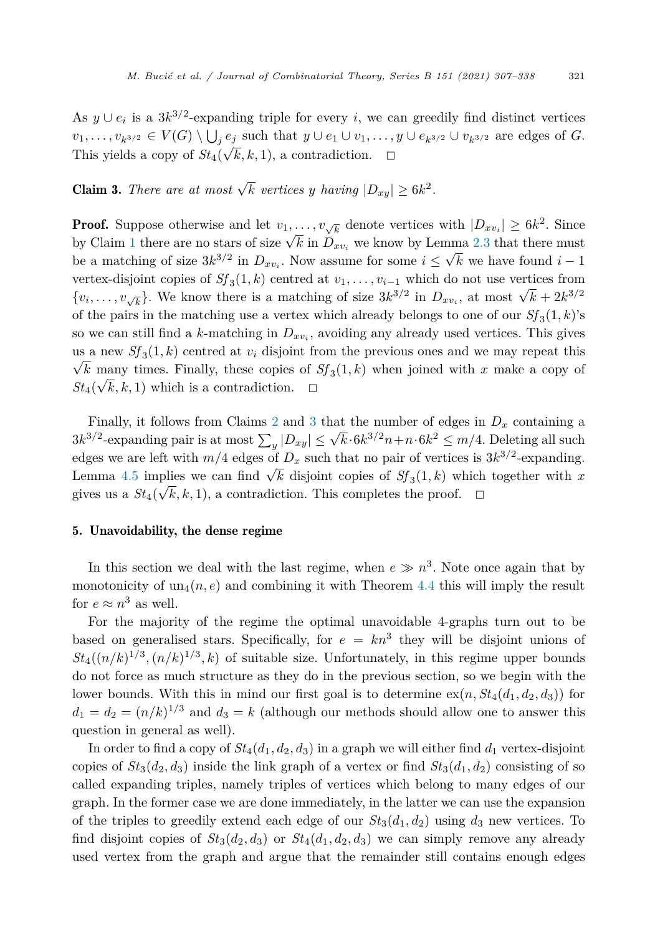<span id="page-14-0"></span>As  $y \cup e_i$  is a  $3k^{3/2}$ -expanding triple for every *i*, we can greedily find distinct vertices  $v_1,\ldots,v_{k^{3/2}}\in V(G)\setminus\bigcup_je_j$  such that  $y\cup e_1\cup v_1,\ldots,y\cup e_{k^{3/2}}\cup v_{k^{3/2}}$  are edges of G. This yields a copy of  $St_4(\sqrt{k}, k, 1)$ , a contradiction.  $\Box$ 

# **Claim 3.** *There are at most*  $\sqrt{k}$  *vertices y having*  $|D_{xy}| \geq 6k^2$ *.*

**Proof.** Suppose otherwise and let  $v_1, \ldots, v_{\sqrt{k}}$  denote vertices with  $|D_{xv_i}| \geq 6k^2$ . Since by Claim [1](#page-13-0) there are no stars of size  $\sqrt{k}$  in  $D_{xv_i}$  we know by Lemma [2.3](#page-5-0) that there must be a matching of size  $3k^{3/2}$  in  $D_{xv_i}$ . Now assume for some  $i \leq \sqrt{k}$  we have found  $i-1$ vertex-disjoint copies of  $Sf_3(1,k)$  centred at  $v_1, \ldots, v_{i-1}$  which do not use vertices from  $\{v_i, \ldots, v_{\sqrt{k}}\}$ . We know there is a matching of size  $3k^{3/2}$  in  $D_{xv_i}$ , at most  $\sqrt{k} + 2k^{3/2}$ of the pairs in the matching use a vertex which already belongs to one of our  $Sf_3(1,k)$ 's so we can still find a *k*-matching in  $D_{xv_i}$ , avoiding any already used vertices. This gives us a new  $Sf_3(1, k)$  centred at  $v_i$  disjoint from the previous ones and we may repeat this  $\sqrt{k}$  many times. Finally, these copies of  $Sf_3(1, k)$  when joined with *x* make a copy of  $St_4(\sqrt{k}, k, 1)$  which is a contradiction.  $\Box$ 

Finally, it follows from Claims [2](#page-13-0) and 3 that the number of edges in  $D<sub>x</sub>$  containing a  $3k^{3/2}$ -expanding pair is at most  $\sum_{y} |D_{xy}| \leq \sqrt{k} \cdot 6k^{3/2} n + n \cdot 6k^2 \leq m/4$ . Deleting all such edges we are left with  $m/4$  edges of  $D_x$  such that no pair of vertices is  $3k^{3/2}$ -expanding. Lemma [4.5](#page-12-0) implies we can find  $\sqrt{k}$  disjoint copies of  $Sf_3(1,k)$  which together with x gives us a  $St_4(\sqrt{k}, k, 1)$ , a contradiction. This completes the proof.  $\Box$ 

#### 5. Unavoidability, the dense regime

In this section we deal with the last regime, when  $e \gg n^3$ . Note once again that by monotonicity of  $un_4(n, e)$  and combining it with Theorem [4.4](#page-12-0) this will imply the result for  $e \approx n^3$  as well.

For the majority of the regime the optimal unavoidable 4-graphs turn out to be based on generalised stars. Specifically, for  $e = kn^3$  they will be disjoint unions of  $St_4((n/k)^{1/3}, (n/k)^{1/3}, k)$  of suitable size. Unfortunately, in this regime upper bounds do not force as much structure as they do in the previous section, so we begin with the lower bounds. With this in mind our first goal is to determine  $ex(n, St_4(d_1, d_2, d_3))$  for  $d_1 = d_2 = (n/k)^{1/3}$  and  $d_3 = k$  (although our methods should allow one to answer this question in general as well).

In order to find a copy of  $St_4(d_1, d_2, d_3)$  in a graph we will either find  $d_1$  vertex-disjoint copies of  $St_3(d_2, d_3)$  inside the link graph of a vertex or find  $St_3(d_1, d_2)$  consisting of so called expanding triples, namely triples of vertices which belong to many edges of our graph. In the former case we are done immediately, in the latter we can use the expansion of the triples to greedily extend each edge of our  $St_3(d_1, d_2)$  using  $d_3$  new vertices. To find disjoint copies of  $St_3(d_2, d_3)$  or  $St_4(d_1, d_2, d_3)$  we can simply remove any already used vertex from the graph and argue that the remainder still contains enough edges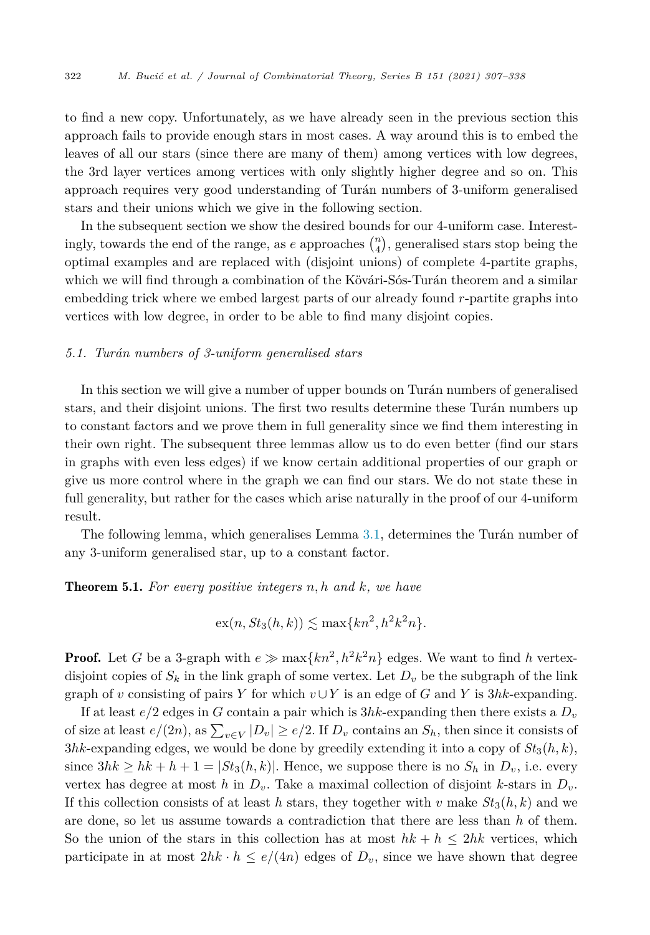<span id="page-15-0"></span>to find a new copy. Unfortunately, as we have already seen in the previous section this approach fails to provide enough stars in most cases. A way around this is to embed the leaves of all our stars (since there are many of them) among vertices with low degrees, the 3rd layer vertices among vertices with only slightly higher degree and so on. This approach requires very good understanding of Turán numbers of 3-uniform generalised stars and their unions which we give in the following section.

In the subsequent section we show the desired bounds for our 4-uniform case. Interestingly, towards the end of the range, as  $e$  approaches  $\binom{n}{4}$ , generalised stars stop being the optimal examples and are replaced with (disjoint unions) of complete 4-partite graphs, which we will find through a combination of the Kövári-Sós-Turán theorem and a similar embedding trick where we embed largest parts of our already found *r*-partite graphs into vertices with low degree, in order to be able to find many disjoint copies.

#### *5.1. Turán numbers of 3-uniform generalised stars*

In this section we will give a number of upper bounds on Turán numbers of generalised stars, and their disjoint unions. The first two results determine these Turán numbers up to constant factors and we prove them in full generality since we find them interesting in their own right. The subsequent three lemmas allow us to do even better (find our stars in graphs with even less edges) if we know certain additional properties of our graph or give us more control where in the graph we can find our stars. We do not state these in full generality, but rather for the cases which arise naturally in the proof of our 4-uniform result.

The following lemma, which generalises Lemma [3.1](#page-6-0), determines the Turán number of any 3-uniform generalised star, up to a constant factor.

#### Theorem 5.1. *For every positive integers n, h and k, we have*

$$
\mathrm{ex}(n, St_3(h,k)) \lesssim \max\{kn^2, h^2k^2n\}.
$$

**Proof.** Let *G* be a 3-graph with  $e \gg \max\{kn^2, h^2k^2n\}$  edges. We want to find *h* vertexdisjoint copies of  $S_k$  in the link graph of some vertex. Let  $D_v$  be the subgraph of the link graph of *v* consisting of pairs *Y* for which  $v \cup Y$  is an edge of *G* and *Y* is 3*hk*-expanding.

If at least  $e/2$  edges in *G* contain a pair which is  $3hk$ -expanding then there exists a  $D_v$ of size at least  $e/(2n)$ , as  $\sum_{v \in V} |D_v| \ge e/2$ . If  $D_v$  contains an  $S_h$ , then since it consists of  $3hk$ -expanding edges, we would be done by greedily extending it into a copy of  $St_3(h, k)$ , since  $3hk \geq hk + h + 1 = |St_3(h, k)|$ . Hence, we suppose there is no  $S_h$  in  $D_v$ , i.e. every vertex has degree at most *h* in  $D_v$ . Take a maximal collection of disjoint *k*-stars in  $D_v$ . If this collection consists of at least *h* stars, they together with *v* make  $St_3(h, k)$  and we are done, so let us assume towards a contradiction that there are less than *h* of them. So the union of the stars in this collection has at most  $hk + h \leq 2hk$  vertices, which participate in at most  $2hk \cdot h \leq e/(4n)$  edges of  $D_v$ , since we have shown that degree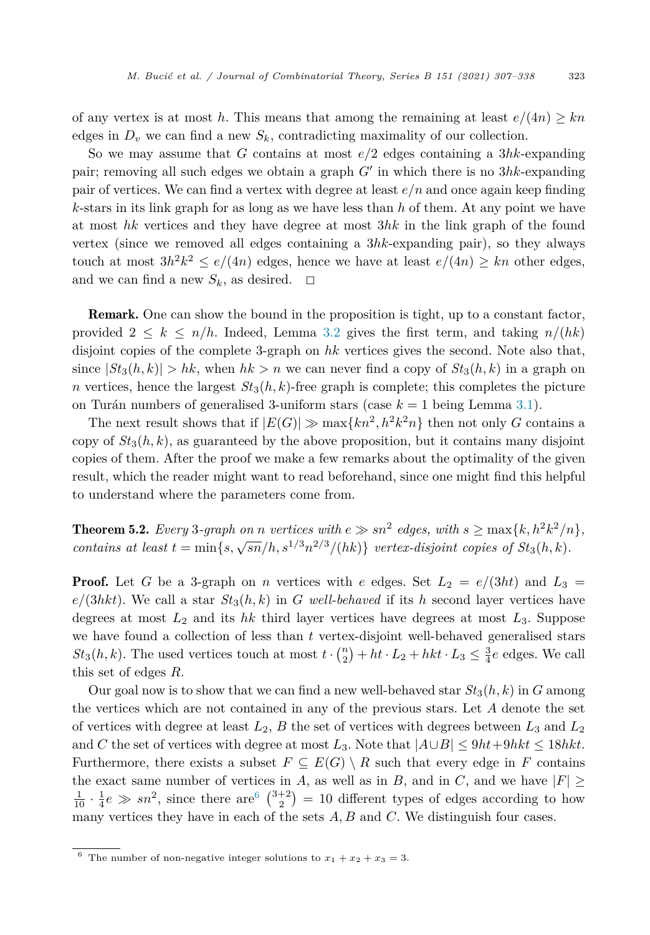<span id="page-16-0"></span>of any vertex is at most h. This means that among the remaining at least  $e/(4n) \geq kn$ edges in  $D_v$  we can find a new  $S_k$ , contradicting maximality of our collection.

So we may assume that *G* contains at most *e/*2 edges containing a 3*hk*-expanding pair; removing all such edges we obtain a graph  $G'$  in which there is no  $3hk$ -expanding pair of vertices. We can find a vertex with degree at least *e/n* and once again keep finding *k*-stars in its link graph for as long as we have less than *h* of them. At any point we have at most *hk* vertices and they have degree at most 3*hk* in the link graph of the found vertex (since we removed all edges containing a 3*hk*-expanding pair), so they always touch at most  $3h^2k^2 \le e/(4n)$  edges, hence we have at least  $e/(4n) \ge kn$  other edges, and we can find a new  $S_k$ , as desired.  $\Box$ 

Remark. One can show the bound in the proposition is tight, up to a constant factor, provided  $2 \leq k \leq n/h$ . Indeed, Lemma [3.2](#page-6-0) gives the first term, and taking  $n/(hk)$ disjoint copies of the complete 3-graph on *hk* vertices gives the second. Note also that, since  $|St_3(h, k)| > hk$ , when  $hk > n$  we can never find a copy of  $St_3(h, k)$  in a graph on *n* vertices, hence the largest  $St_3(h, k)$ -free graph is complete; this completes the picture on Turán numbers of generalised 3-uniform stars (case *k* = 1 being Lemma [3.1\)](#page-6-0).

The next result shows that if  $|E(G)| \gg \max\{kn^2, h^2k^2n\}$  then not only *G* contains a copy of  $St_3(h, k)$ , as guaranteed by the above proposition, but it contains many disjoint copies of them. After the proof we make a few remarks about the optimality of the given result, which the reader might want to read beforehand, since one might find this helpful to understand where the parameters come from.

**Theorem 5.2.** Every 3-graph on *n* vertices with  $e \gg sn^2$  edges, with  $s \geq max\{k, h^2k^2/n\}$ , *contains at* least  $t = \min\{s, \sqrt{sn}/h, s^{1/3}n^{2/3}/(hk)\}$  *vertex-disjoint copies of*  $St_3(h, k)$ *.* 

**Proof.** Let G be a 3-graph on *n* vertices with *e* edges. Set  $L_2 = e/(3ht)$  and  $L_3 =$  $e/(3hkt)$ . We call a star  $St_3(h,k)$  in *G* well-behaved if its *h* second layer vertices have degrees at most *L*<sup>2</sup> and its *hk* third layer vertices have degrees at most *L*3. Suppose we have found a collection of less than *t* vertex-disjoint well-behaved generalised stars  $St_3(h, k)$ . The used vertices touch at most  $t \cdot \binom{n}{2} + ht \cdot L_2 + hk \cdot L_3 \leq \frac{3}{4}e$  edges. We call this set of edges *R*.

Our goal now is to show that we can find a new well-behaved star  $St_3(h, k)$  in  $G$  among the vertices which are not contained in any of the previous stars. Let *A* denote the set of vertices with degree at least *L*2, *B* the set of vertices with degrees between *L*<sup>3</sup> and *L*<sup>2</sup> and *C* the set of vertices with degree at most  $L_3$ . Note that  $|A \cup B| \le 9ht + 9hkt \le 18hkt$ . Furthermore, there exists a subset  $F \subseteq E(G) \setminus R$  such that every edge in F contains the exact same number of vertices in *A*, as well as in *B*, and in *C*, and we have  $|F| \ge$  $\frac{1}{10} \cdot \frac{1}{4}e \gg sn^2$ , since there are  $\binom{3+2}{2} = 10$  different types of edges according to how many vertices they have in each of the sets  $A, B$  and  $C$ . We distinguish four cases.

<sup>&</sup>lt;sup>6</sup> The number of non-negative integer solutions to  $x_1 + x_2 + x_3 = 3$ .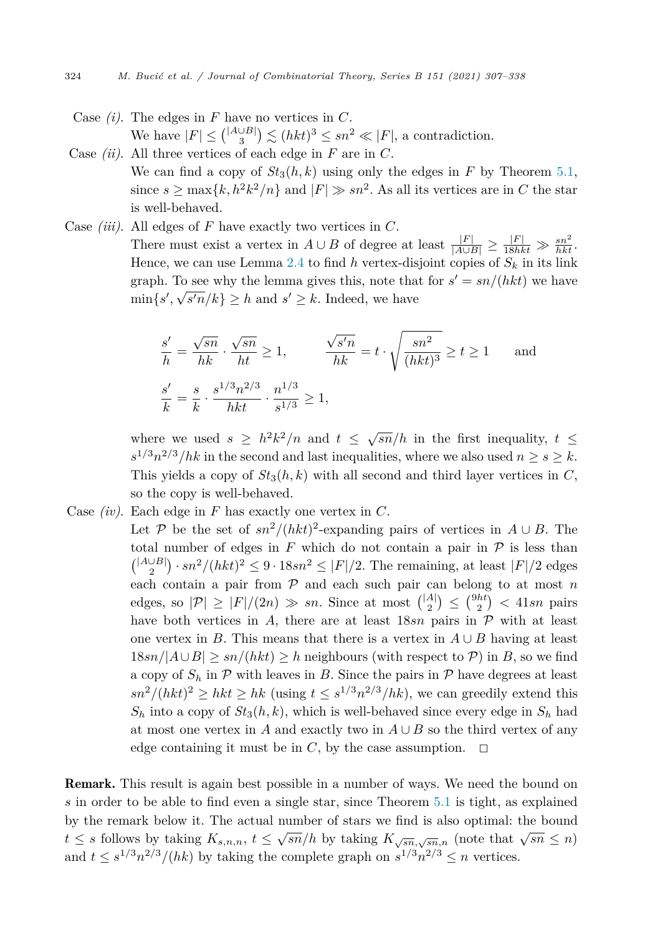- Case *(i)*. The edges in *F* have no vertices in *C*. We have  $|F| \leq {^{|A \cup B|}} \choose{3} \leq (hkt)^3 \leq sn^2 \ll |F|$ , a contradiction.
- Case *(ii)*. All three vertices of each edge in *F* are in *C*. We can find a copy of  $St_3(h, k)$  using only the edges in F by Theorem [5.1,](#page-15-0) since  $s > \max\{k, h^2k^2/n\}$  and  $|F| \gg sn^2$ . As all its vertices are in C the star is well-behaved.
- Case *(iii)*. All edges of *F* have exactly two vertices in *C*. There must exist a vertex in  $A \cup B$  of degree at least  $\frac{|F|}{|A \cup B|} \ge \frac{|F|}{18hkt} \gg \frac{sn^2}{hkt}$ . Hence, we can use Lemma [2.4](#page-5-0) to find  $h$  vertex-disjoint copies of  $S_k$  in its link graph. To see why the lemma gives this, note that for  $s' = sn/(hkt)$  we have  $\min\{s', \sqrt{s'n}/k\} \geq h$  and  $s' \geq k$ . Indeed, we have

$$
\frac{s'}{h} = \frac{\sqrt{sn}}{hk} \cdot \frac{\sqrt{sn}}{ht} \ge 1, \qquad \frac{\sqrt{s'n}}{hk} = t \cdot \sqrt{\frac{sn^2}{(hkt)^3}} \ge t \ge 1 \quad \text{and}
$$
  

$$
\frac{s'}{k} = \frac{s}{k} \cdot \frac{s^{1/3}n^{2/3}}{hkt} \cdot \frac{n^{1/3}}{s^{1/3}} \ge 1,
$$

where we used  $s \geq h^2k^2/n$  and  $t \leq \sqrt{sn}/h$  in the first inequality,  $t \leq$  $s^{1/3}n^{2/3}/hk$  in the second and last inequalities, where we also used  $n \geq s \geq k$ . This yields a copy of  $St_3(h, k)$  with all second and third layer vertices in  $C$ , so the copy is well-behaved.

- Case *(iv)*. Each edge in *F* has exactly one vertex in *C*.
	- Let P be the set of  $sn^2/(hkt)^2$ -expanding pairs of vertices in  $A \cup B$ . The total number of edges in  $F$  which do not contain a pair in  $\mathcal P$  is less than  $\binom{|A\cup B|}{2} \cdot sn^2/(hkt)^2 \leq 9 \cdot 18sn^2 \leq |F|/2$ . The remaining, at least  $|F|/2$  edges each contain a pair from P and each such pair can belong to at most *n* edges, so  $|\mathcal{P}| \geq |F|/(2n) \gg sn$ . Since at most  $\binom{|A|}{2} \leq \binom{9ht}{2} < 41sn$  pairs have both vertices in A, there are at least  $18sn$  pairs in  $P$  with at least one vertex in *B*. This means that there is a vertex in  $A \cup B$  having at least  $18sn/|A\cup B| \geq sn/(hkt) \geq h$  neighbours (with respect to  $P$ ) in *B*, so we find a copy of  $S_h$  in  $P$  with leaves in *B*. Since the pairs in  $P$  have degrees at least  $\frac{sn^2}{(hkt)^2} \geq \frac{hkt}{h}$  (using  $t \leq \frac{s^{1/3}n^{2/3}}{hk}$ ), we can greedily extend this  $S_h$  into a copy of  $St_3(h, k)$ , which is well-behaved since every edge in  $S_h$  had at most one vertex in *A* and exactly two in  $A \cup B$  so the third vertex of any edge containing it must be in  $C$ , by the case assumption.  $\Box$

Remark. This result is again best possible in a number of ways. We need the bound on *s* in order to be able to find even a single star, since Theorem [5.1](#page-15-0) is tight, as explained by the remark below it. The actual number of stars we find is also optimal: the bound  $t \leq s$  follows by taking  $K_{s,n,n}$ ,  $t \leq \sqrt{sn}/h$  by taking  $K_{\sqrt{sn},\sqrt{sn},n}$  (note that  $\sqrt{sn} \leq n$ ) and  $t \leq s^{1/3}n^{2/3}/(hk)$  by taking the complete graph on  $s^{1/3}n^{2/3} \leq n$  vertices.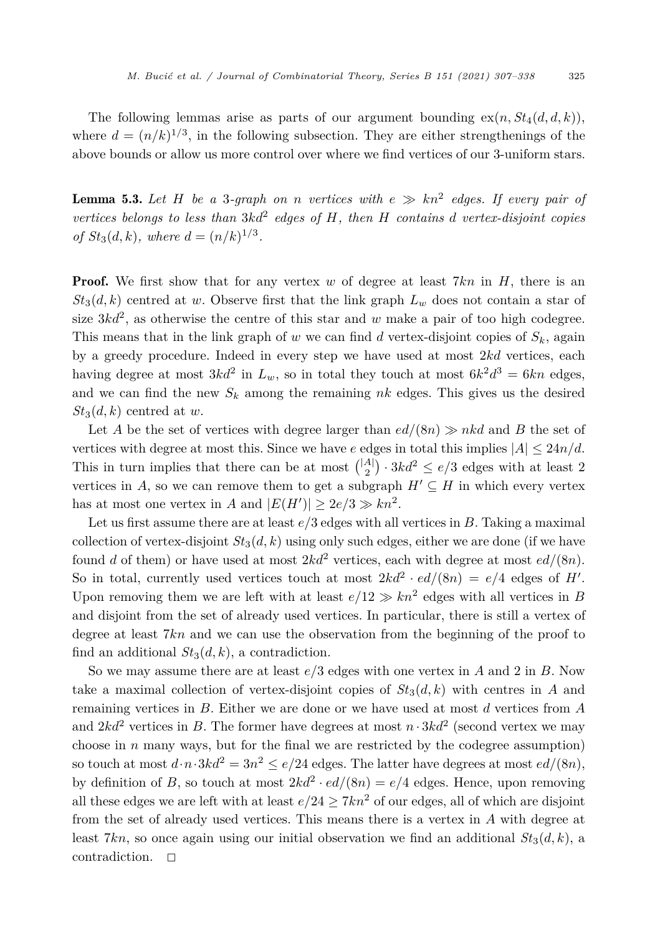<span id="page-18-0"></span>The following lemmas arise as parts of our argument bounding  $ex(n, St_4(d, d, k))$ , where  $d = (n/k)^{1/3}$ , in the following subsection. They are either strengthenings of the above bounds or allow us more control over where we find vertices of our 3-uniform stars.

**Lemma 5.3.** Let H be a 3-graph on *n* vertices with  $e \gg kn^2$  edges. If every pair of *vertices belongs to less than* 3*kd*<sup>2</sup> *edges of H, then H contains d vertex-disjoint copies of*  $St_3(d, k)$ *, where*  $d = (n/k)^{1/3}$ *.* 

**Proof.** We first show that for any vertex *w* of degree at least 7*kn* in *H*, there is an  $St_3(d, k)$  centred at *w*. Observe first that the link graph  $L_w$  does not contain a star of size  $3kd^2$ , as otherwise the centre of this star and *w* make a pair of too high codegree. This means that in the link graph of  $w$  we can find  $d$  vertex-disjoint copies of  $S_k$ , again by a greedy procedure. Indeed in every step we have used at most 2*kd* vertices, each having degree at most  $3kd^2$  in  $L_w$ , so in total they touch at most  $6k^2d^3 = 6kn$  edges, and we can find the new  $S_k$  among the remaining  $nk$  edges. This gives us the desired  $St_3(d, k)$  centred at *w*.

Let *A* be the set of vertices with degree larger than  $ed/(8n) \gg nkd$  and *B* the set of vertices with degree at most this. Since we have *e* edges in total this implies  $|A| \leq 24n/d$ . This in turn implies that there can be at most  $\binom{|A|}{2} \cdot 3kd^2 \le e/3$  edges with at least 2 vertices in *A*, so we can remove them to get a subgraph  $H' \subseteq H$  in which every vertex has at most one vertex in *A* and  $|E(H')| \geq 2e/3 \gg kn^2$ .

Let us first assume there are at least *e/*3 edges with all vertices in *B*. Taking a maximal collection of vertex-disjoint  $St_3(d, k)$  using only such edges, either we are done (if we have found *d* of them) or have used at most  $2kd^2$  vertices, each with degree at most  $ed/(8n)$ . So in total, currently used vertices touch at most  $2kd^2 \cdot ed/(8n) = e/4$  edges of *H'*. Upon removing them we are left with at least  $e/12 \gg kn^2$  edges with all vertices in *B* and disjoint from the set of already used vertices. In particular, there is still a vertex of degree at least 7*kn* and we can use the observation from the beginning of the proof to find an additional  $St_3(d, k)$ , a contradiction.

So we may assume there are at least *e/*3 edges with one vertex in *A* and 2 in *B*. Now take a maximal collection of vertex-disjoint copies of  $St_3(d, k)$  with centres in *A* and remaining vertices in *B*. Either we are done or we have used at most *d* vertices from *A* and  $2kd^2$  vertices in *B*. The former have degrees at most  $n \cdot 3kd^2$  (second vertex we may choose in *n* many ways, but for the final we are restricted by the codegree assumption) so touch at most  $d \cdot n \cdot 3kd^2 = 3n^2 \le e/24$  edges. The latter have degrees at most  $ed/(8n)$ , by definition of *B*, so touch at most  $2kd^2 \cdot ed/(8n) = e/4$  edges. Hence, upon removing all these edges we are left with at least  $e/24 \geq 7kn^2$  of our edges, all of which are disjoint from the set of already used vertices. This means there is a vertex in *A* with degree at least 7kn, so once again using our initial observation we find an additional  $St_3(d, k)$ , a contradiction.  $\Box$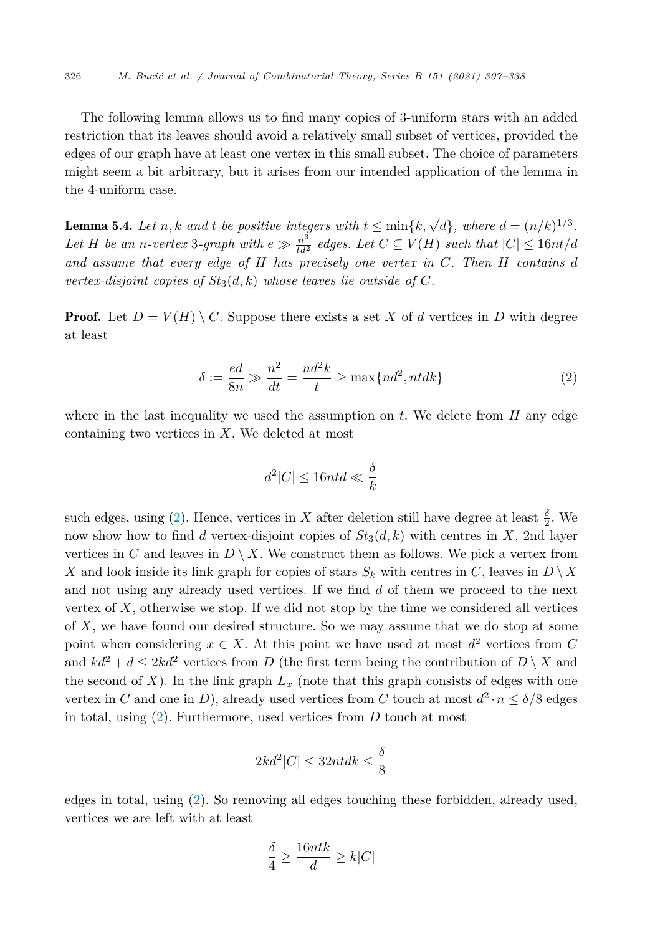<span id="page-19-0"></span>The following lemma allows us to find many copies of 3-uniform stars with an added restriction that its leaves should avoid a relatively small subset of vertices, provided the edges of our graph have at least one vertex in this small subset. The choice of parameters might seem a bit arbitrary, but it arises from our intended application of the lemma in the 4-uniform case.

**Lemma 5.4.** Let *n, k* and *t* be positive integers with  $t \leq \min\{k, \sqrt{d}\}$ , where  $d = (n/k)^{1/3}$ . Let H be an n-vertex 3-graph with  $e \gg \frac{n^3}{td^2}$  edges. Let  $C \subseteq V(H)$  such that  $|C| \leq 16nt/d$ *and assume that every edge of H has precisely one vertex in C. Then H contains d vertex-disjoint copies of*  $St_3(d, k)$  *whose leaves lie outside of*  $C$ *.* 

**Proof.** Let  $D = V(H) \setminus C$ . Suppose there exists a set X of d vertices in D with degree at least

$$
\delta := \frac{ed}{8n} \gg \frac{n^2}{dt} = \frac{nd^2k}{t} \ge \max\{nd^2, ntdk\}
$$
 (2)

where in the last inequality we used the assumption on *t*. We delete from *H* any edge containing two vertices in *X*. We deleted at most

$$
d^2|C|\leq 16ntd\ll \frac{\delta}{k}
$$

such edges, using (2). Hence, vertices in *X* after deletion still have degree at least  $\frac{\delta}{2}$ . We now show how to find *d* vertex-disjoint copies of  $St_3(d, k)$  with centres in X, 2nd layer vertices in *C* and leaves in  $D \setminus X$ . We construct them as follows. We pick a vertex from *X* and look inside its link graph for copies of stars  $S_k$  with centres in  $C$ , leaves in  $D \setminus X$ and not using any already used vertices. If we find *d* of them we proceed to the next vertex of *X*, otherwise we stop. If we did not stop by the time we considered all vertices of *X*, we have found our desired structure. So we may assume that we do stop at some point when considering  $x \in X$ . At this point we have used at most  $d^2$  vertices from *C* and  $kd^2 + d \leq 2kd^2$  vertices from *D* (the first term being the contribution of *D* \ *X* and the second of  $X$ ). In the link graph  $L_x$  (note that this graph consists of edges with one vertex in *C* and one in *D*), already used vertices from *C* touch at most  $d^2 \cdot n \leq \delta/8$  edges in total, using (2). Furthermore, used vertices from *D* touch at most

$$
2kd^2|C| \le 32nt dk \le \frac{\delta}{8}
$$

edges in total, using (2). So removing all edges touching these forbidden, already used, vertices we are left with at least

$$
\frac{\delta}{4} \ge \frac{16ntk}{d} \ge k|C|
$$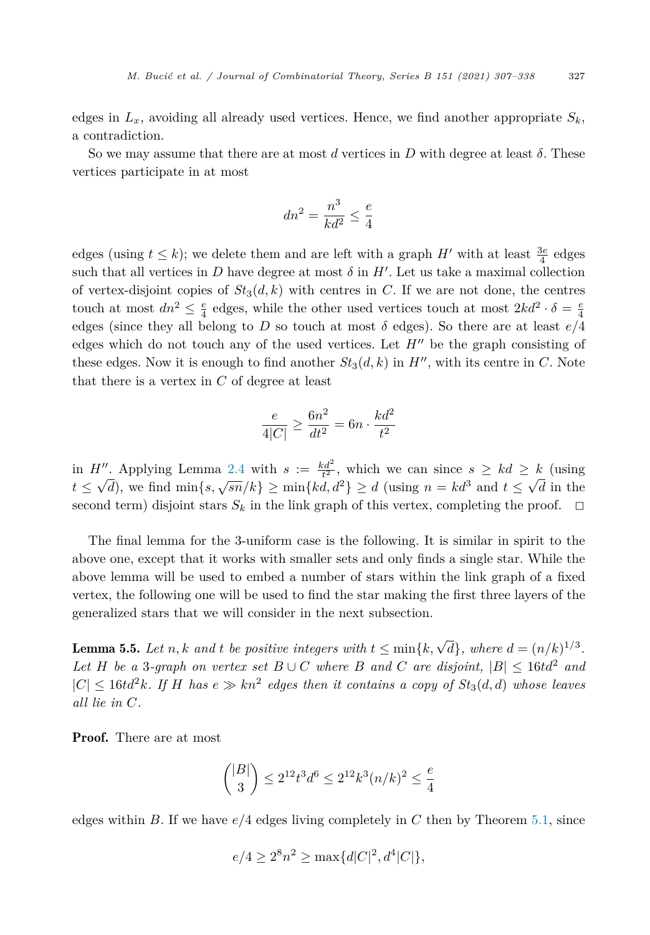<span id="page-20-0"></span>edges in  $L_x$ , avoiding all already used vertices. Hence, we find another appropriate  $S_k$ , a contradiction.

So we may assume that there are at most *d* vertices in *D* with degree at least  $\delta$ . These vertices participate in at most

$$
dn^2 = \frac{n^3}{kd^2} \le \frac{e}{4}
$$

edges (using  $t \leq k$ ); we delete them and are left with a graph  $H'$  with at least  $\frac{3e}{4}$  edges such that all vertices in *D* have degree at most  $\delta$  in  $H'$ . Let us take a maximal collection of vertex-disjoint copies of  $St_3(d, k)$  with centres in *C*. If we are not done, the centres touch at most  $dn^2 \leq \frac{e}{4}$  edges, while the other used vertices touch at most  $2kd^2 \cdot \delta = \frac{e}{4}$ edges (since they all belong to *D* so touch at most  $\delta$  edges). So there are at least  $e/4$ edges which do not touch any of the used vertices. Let  $H''$  be the graph consisting of these edges. Now it is enough to find another  $St_3(d, k)$  in  $H''$ , with its centre in C. Note that there is a vertex in *C* of degree at least

$$
\frac{e}{4|C|} \ge \frac{6n^2}{dt^2} = 6n \cdot \frac{kd^2}{t^2}
$$

in  $H''$ . Applying Lemma [2.4](#page-5-0) with  $s := \frac{kd^2}{t^2}$ , which we can since  $s \geq kd \geq k$  (using  $t \leq \sqrt{d}$ , we find min{*s*,  $\sqrt{sn}/k$ }  $\geq \min\{kd, d^2\} \geq d$  (using  $n = kd^3$  and  $t \leq \sqrt{d}$  in the second term) disjoint stars  $S_k$  in the link graph of this vertex, completing the proof.  $\Box$ 

The final lemma for the 3-uniform case is the following. It is similar in spirit to the above one, except that it works with smaller sets and only finds a single star. While the above lemma will be used to embed a number of stars within the link graph of a fixed vertex, the following one will be used to find the star making the first three layers of the generalized stars that we will consider in the next subsection.

**Lemma 5.5.** Let n, k and t be positive integers with  $t \leq \min\{k, \sqrt{d}\}$ , where  $d = (n/k)^{1/3}$ . *Let H be a* 3*-graph on vertex set*  $B \cup C$  *where B and C are disjoint*,  $|B| \leq 16t d^2$  *and*  $|C| \leq 16t d^2k$ . If H has  $e \gg kn^2$  edges then it contains a copy of  $St_3(d,d)$  whose leaves *all lie in C.*

Proof. There are at most

$$
\binom{|B|}{3} \le 2^{12} t^3 d^6 \le 2^{12} k^3 (n/k)^2 \le \frac{e}{4}
$$

edges within *B*. If we have *e/*4 edges living completely in *C* then by Theorem [5.1,](#page-15-0) since

$$
e/4 \ge 2^8 n^2 \ge \max\{d|C|^2, d^4|C|\},\
$$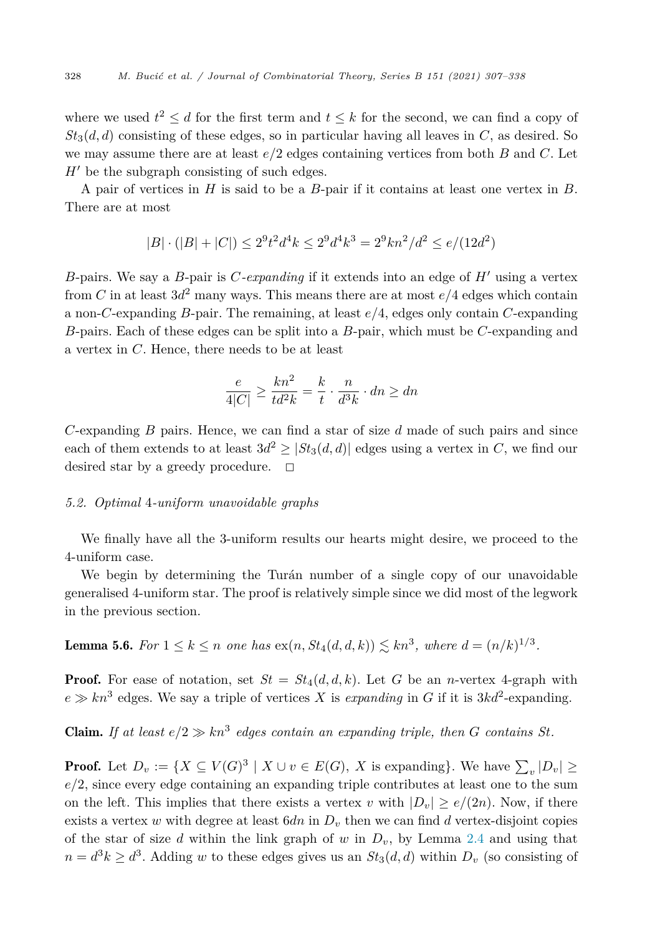<span id="page-21-0"></span>where we used  $t^2 \le d$  for the first term and  $t \le k$  for the second, we can find a copy of  $St_3(d, d)$  consisting of these edges, so in particular having all leaves in  $C$ , as desired. So we may assume there are at least *e/*2 edges containing vertices from both *B* and *C*. Let  $H'$  be the subgraph consisting of such edges.

A pair of vertices in *H* is said to be a *B*-pair if it contains at least one vertex in *B*. There are at most

$$
|B| \cdot (|B| + |C|) \le 2^9 t^2 d^4 k \le 2^9 d^4 k^3 = 2^9 k n^2 / d^2 \le e / (12d^2)
$$

*B*-pairs. We say a *B*-pair is *C-expanding* if it extends into an edge of *H* using a vertex from *C* in at least  $3d^2$  many ways. This means there are at most  $e/4$  edges which contain a non-*C*-expanding *B*-pair. The remaining, at least *e/*4, edges only contain *C*-expanding *B*-pairs. Each of these edges can be split into a *B*-pair, which must be *C*-expanding and a vertex in *C*. Hence, there needs to be at least

$$
\frac{e}{4|C|} \ge \frac{kn^2}{td^2k} = \frac{k}{t} \cdot \frac{n}{d^3k} \cdot dn \ge dn
$$

*C*-expanding *B* pairs. Hence, we can find a star of size *d* made of such pairs and since each of them extends to at least  $3d^2 \geq |St_3(d,d)|$  edges using a vertex in *C*, we find our desired star by a greedy procedure.  $\Box$ 

#### *5.2. Optimal* 4*-uniform unavoidable graphs*

We finally have all the 3-uniform results our hearts might desire, we proceed to the 4-uniform case.

We begin by determining the Turán number of a single copy of our unavoidable generalised 4-uniform star. The proof is relatively simple since we did most of the legwork in the previous section.

**Lemma 5.6.** For  $1 \leq k \leq n$  one has  $ex(n, St_4(d, d, k)) \lesssim kn^3$ , where  $d = (n/k)^{1/3}$ .

**Proof.** For ease of notation, set  $St = St_4(d, d, k)$ . Let G be an *n*-vertex 4-graph with  $e \gg kn^3$  edges. We say a triple of vertices *X* is *expanding* in *G* if it is  $3kd^2$ -expanding.

**Claim.** *If* at least  $e/2 \gg kn^3$  edges contain an expanding triple, then *G* contains *St*.

**Proof.** Let  $D_v := \{ X \subseteq V(G)^3 \mid X \cup v \in E(G), X \text{ is expanding} \}.$  We have  $\sum_{v} |D_v| \ge$  $e/2$ , since every edge containing an expanding triple contributes at least one to the sum on the left. This implies that there exists a vertex *v* with  $|D_v| \ge e/(2n)$ . Now, if there exists a vertex  $w$  with degree at least  $6dn$  in  $D<sub>v</sub>$  then we can find  $d$  vertex-disjoint copies of the star of size  $d$  within the link graph of  $w$  in  $D_v$ , by Lemma [2.4](#page-5-0) and using that  $n = d^3k \geq d^3$ . Adding *w* to these edges gives us an  $St_3(d, d)$  within  $D_v$  (so consisting of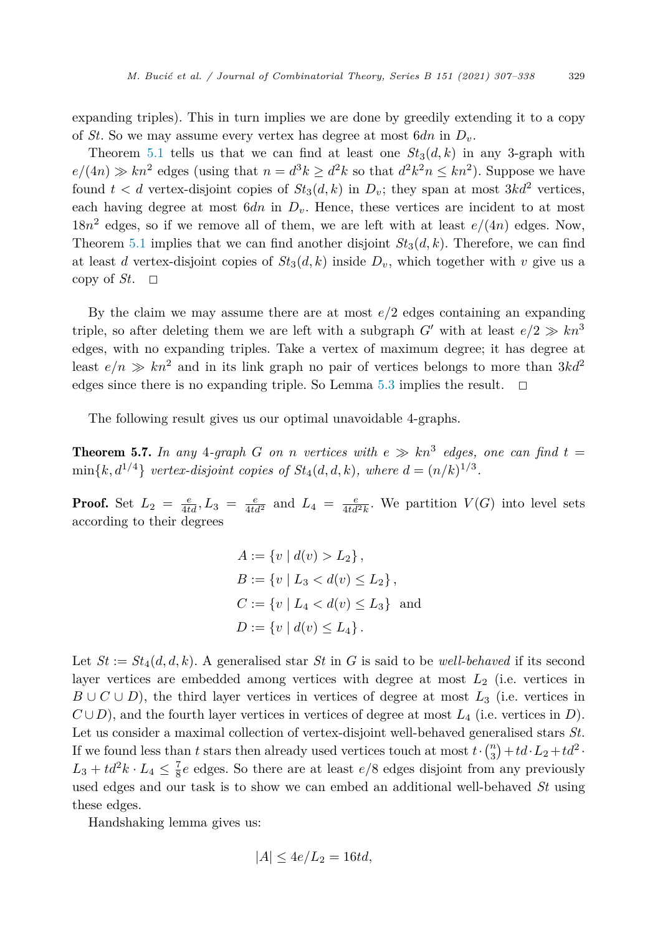<span id="page-22-0"></span>expanding triples). This in turn implies we are done by greedily extending it to a copy of *St*. So we may assume every vertex has degree at most 6*dn* in *Dv*.

Theorem [5.1](#page-15-0) tells us that we can find at least one  $St_3(d, k)$  in any 3-graph with  $e/(4n) \gg kn^2$  edges (using that  $n = d^3k > d^2k$  so that  $d^2k^2n \leq kn^2$ ). Suppose we have found  $t < d$  vertex-disjoint copies of  $St_3(d, k)$  in  $D_v$ ; they span at most  $3kd^2$  vertices, each having degree at most  $6dn$  in  $D_v$ . Hence, these vertices are incident to at most  $18n^2$  edges, so if we remove all of them, we are left with at least  $e/(4n)$  edges. Now, Theorem [5.1](#page-15-0) implies that we can find another disjoint  $St_3(d, k)$ . Therefore, we can find at least *d* vertex-disjoint copies of  $St_3(d, k)$  inside  $D_v$ , which together with *v* give us a copy of  $St$ .  $\Box$ 

By the claim we may assume there are at most *e/*2 edges containing an expanding triple, so after deleting them we are left with a subgraph *G'* with at least  $e/2 \gg kn^3$ edges, with no expanding triples. Take a vertex of maximum degree; it has degree at least  $e/n \gg kn^2$  and in its link graph no pair of vertices belongs to more than  $3kd^2$ edges since there is no expanding triple. So Lemma [5.3](#page-18-0) implies the result.  $\Box$ 

The following result gives us our optimal unavoidable 4-graphs.

**Theorem 5.7.** In any 4-graph G on *n* vertices with  $e \gg kn^3$  edges, one can find  $t =$  $\min\{k, d^{1/4}\}\$  *vertex-disjoint copies of*  $St_4(d, d, k)$ *, where*  $d = (n/k)^{1/3}$ *.* 

**Proof.** Set  $L_2 = \frac{e}{4td}$ ,  $L_3 = \frac{e}{4td^2}$  and  $L_4 = \frac{e}{4td^2k}$ . We partition  $V(G)$  into level sets according to their degrees

$$
A := \{v \mid d(v) > L_2\},\
$$
  
\n
$$
B := \{v \mid L_3 < d(v) \le L_2\},\
$$
  
\n
$$
C := \{v \mid L_4 < d(v) \le L_3\} \text{ and}
$$
  
\n
$$
D := \{v \mid d(v) \le L_4\}.
$$

Let  $St := St_4(d, d, k)$ . A generalised star  $St$  in  $G$  is said to be *well-behaved* if its second layer vertices are embedded among vertices with degree at most *L*<sup>2</sup> (i.e. vertices in  $B \cup C \cup D$ ), the third layer vertices in vertices of degree at most  $L_3$  (i.e. vertices in  $C \cup D$ , and the fourth layer vertices in vertices of degree at most  $L_4$  (i.e. vertices in *D*). Let us consider a maximal collection of vertex-disjoint well-behaved generalised stars *St*. If we found less than *t* stars then already used vertices touch at most  $t \cdot \binom{n}{3} + td \cdot L_2 + td^2$ .  $L_3 + td^2k \cdot L_4 \leq \frac{7}{8}e$  edges. So there are at least  $e/8$  edges disjoint from any previously used edges and our task is to show we can embed an additional well-behaved *St* using these edges.

Handshaking lemma gives us:

$$
|A| \le 4e/L_2 = 16td,
$$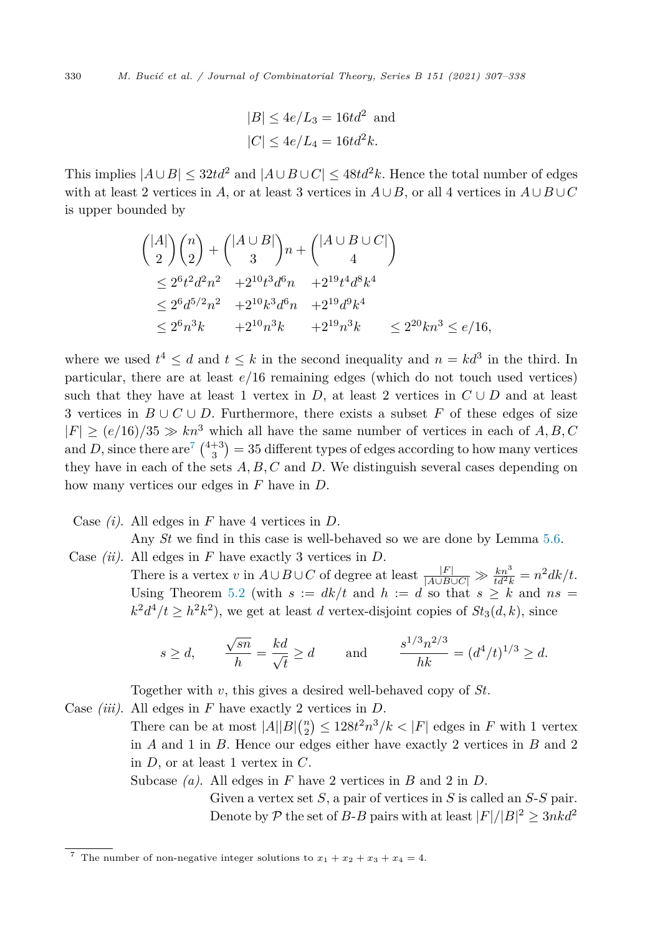$$
|B| \le 4e/L_3 = 16td^2
$$
 and  

$$
|C| \le 4e/L_4 = 16td^2k.
$$

This implies  $|A \cup B|$  < 32*td*<sup>2</sup> and  $|A \cup B \cup C|$  < 48*td*<sup>2</sup>*k*. Hence the total number of edges with at least 2 vertices in *A*, or at least 3 vertices in  $A \cup B$ , or all 4 vertices in  $A \cup B \cup C$ is upper bounded by

$$
\begin{aligned}\n\binom{|A|}{2}\binom{n}{2} + \binom{|A \cup B|}{3}n + \binom{|A \cup B \cup C|}{4} \\
&\le 2^6 t^2 d^2 n^2 + 2^{10} t^3 d^6 n + 2^{19} t^4 d^8 k^4 \\
&\le 2^6 d^{5/2} n^2 + 2^{10} k^3 d^6 n + 2^{19} d^9 k^4 \\
&\le 2^6 n^3 k + 2^{10} n^3 k + 2^{19} n^3 k \le 2^{20} k n^3 \le e/16,\n\end{aligned}
$$

where we used  $t^4 \leq d$  and  $t \leq k$  in the second inequality and  $n = kd^3$  in the third. In particular, there are at least *e/*16 remaining edges (which do not touch used vertices) such that they have at least 1 vertex in *D*, at least 2 vertices in  $C \cup D$  and at least 3 vertices in *B* ∪ *C* ∪ *D*. Furthermore, there exists a subset *F* of these edges of size  $|F| \ge (e/16)/35 \gg kn^3$  which all have the same number of vertices in each of *A, B, C* and *D*, since there are<sup>7</sup>  $\binom{4+3}{3}$  = 35 different types of edges according to how many vertices they have in each of the sets *A, B, C* and *D*. We distinguish several cases depending on how many vertices our edges in *F* have in *D*.

Case *(i)*. All edges in *F* have 4 vertices in *D*.

Any *St* we find in this case is well-behaved so we are done by Lemma [5.6.](#page-21-0)

Case *(ii)*. All edges in *F* have exactly 3 vertices in *D*. There is a vertex *v* in  $A \cup B \cup C$  of degree at least  $\frac{|F|}{|A \cup B \cup C|} \gg \frac{kn^3}{td^2k} = n^2 dk/t$ . Using Theorem [5.2](#page-16-0) (with  $s := dk/t$  and  $h := d$  so that  $s \geq k$  and  $ns =$  $k^2 d^4/t > h^2 k^2$ , we get at least *d* vertex-disjoint copies of  $St_3(d, k)$ , since

$$
s \ge d
$$
,  $\frac{\sqrt{sn}}{h} = \frac{kd}{\sqrt{t}} \ge d$  and  $\frac{s^{1/3}n^{2/3}}{hk} = (d^4/t)^{1/3} \ge d$ .

Together with *v*, this gives a desired well-behaved copy of *St*.

Case *(iii)*. All edges in *F* have exactly 2 vertices in *D*.

There can be at most  $|A||B| \binom{n}{2} \leq 128t^2 n^3/k < |F|$  edges in *F* with 1 vertex in *A* and 1 in *B*. Hence our edges either have exactly 2 vertices in *B* and 2 in *D*, or at least 1 vertex in *C*.

Subcase *(a)*. All edges in *F* have 2 vertices in *B* and 2 in *D*.

Given a vertex set *S*, a pair of vertices in *S* is called an *S*-*S* pair. Denote by  $P$  the set of *B*-*B* pairs with at least  $|F|/|B|^2 \geq 3nkd^2$ 

<sup>&</sup>lt;sup>7</sup> The number of non-negative integer solutions to  $x_1 + x_2 + x_3 + x_4 = 4$ .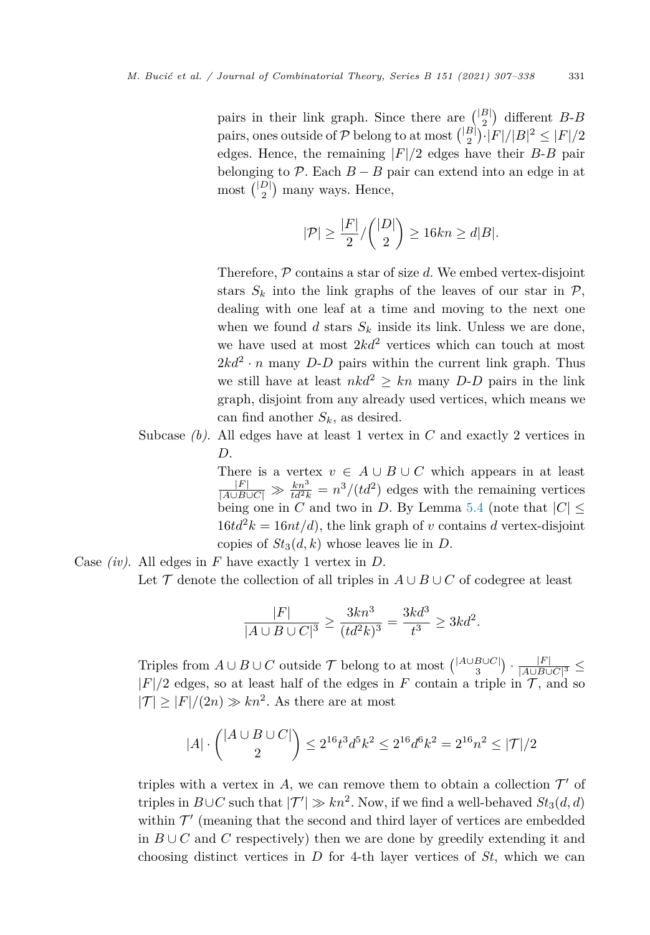pairs in their link graph. Since there are  $\binom{|B|}{2}$  different *B-B* pairs, ones outside of  $P$  belong to at most  $\binom{|B|}{2} \cdot |F|/|B|^2 \leq |F|/2$ edges. Hence, the remaining  $|F|/2$  edges have their *B-B* pair belonging to  $\mathcal{P}$ . Each  $B - B$  pair can extend into an edge in at most  $\binom{|D|}{2}$  many ways. Hence,

$$
|\mathcal{P}| \ge \frac{|F|}{2} / \binom{|D|}{2} \ge 16kn \ge d|B|.
$$

Therefore, P contains a star of size *d*. We embed vertex-disjoint stars  $S_k$  into the link graphs of the leaves of our star in  $P$ , dealing with one leaf at a time and moving to the next one when we found  $d$  stars  $S_k$  inside its link. Unless we are done, we have used at most 2*kd*<sup>2</sup> vertices which can touch at most  $2kd^2 \cdot n$  many *D-D* pairs within the current link graph. Thus we still have at least  $nkd^2 > kn$  many *D-D* pairs in the link graph, disjoint from any already used vertices, which means we can find another  $S_k$ , as desired.

Subcase *(b)*. All edges have at least 1 vertex in *C* and exactly 2 vertices in *D*.

> There is a vertex  $v \in A \cup B \cup C$  which appears in at least  $\frac{|F|}{|A\cup B\cup C|} \gg \frac{kn^3}{td^2k} = n^3/(td^2)$  edges with the remaining vertices being one in  $C$  and two in  $D$ . By Lemma [5.4](#page-19-0) (note that  $|C|$   $\leq$  $16td^2k = 16nt/d$ , the link graph of *v* contains *d* vertex-disjoint copies of  $St_3(d, k)$  whose leaves lie in *D*.

Case *(iv)*. All edges in *F* have exactly 1 vertex in *D*. Let  $\mathcal T$  denote the collection of all triples in  $A \cup B \cup C$  of codegree at least

$$
\frac{|F|}{|A \cup B \cup C|^3} \ge \frac{3kn^3}{(td^2k)^3} = \frac{3kd^3}{t^3} \ge 3kd^2.
$$

Triples from  $A \cup B \cup C$  outside  $\mathcal T$  belong to at most  $\binom{|A \cup B \cup C|}{3} \cdot \frac{|F|}{|A \cup B \cup C|^3}$  ≤  $|F|/2$  edges, so at least half of the edges in *F* contain a triple in  $\mathcal{T}$ , and so  $|\mathcal{T}| \geq |F|/(2n) \gg kn^2$ . As there are at most

$$
|A| \cdot \binom{|A \cup B \cup C|}{2} \le 2^{16} t^3 d^5 k^2 \le 2^{16} d^6 k^2 = 2^{16} n^2 \le |\mathcal{T}|/2
$$

triples with a vertex in  $A$ , we can remove them to obtain a collection  $\mathcal{T}'$  of triples in  $B\cup C$  such that  $|T'| \gg kn^2$ . Now, if we find a well-behaved  $St_3(d, d)$ within  $\mathcal{T}'$  (meaning that the second and third layer of vertices are embedded in  $B \cup C$  and *C* respectively) then we are done by greedily extending it and choosing distinct vertices in *D* for 4-th layer vertices of *St*, which we can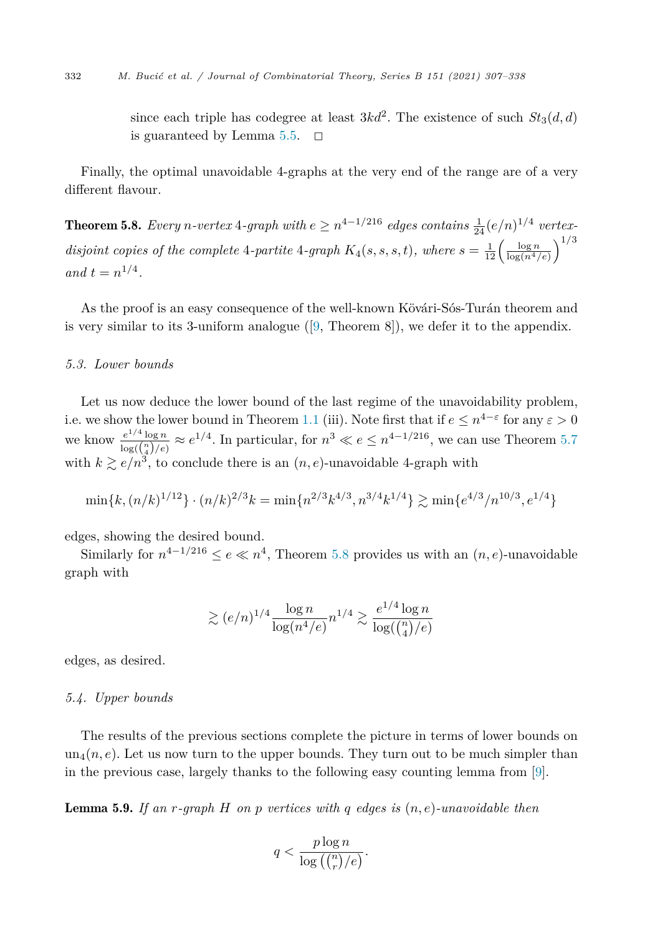<span id="page-25-0"></span>since each triple has codegree at least  $3kd^2$ . The existence of such  $St_3(d, d)$ is guaranteed by Lemma [5.5.](#page-20-0)  $\Box$ 

Finally, the optimal unavoidable 4-graphs at the very end of the range are of a very different flavour.

**Theorem 5.8.** Every *n*-vertex 4-graph with  $e \geq n^{4-1/216}$  edges contains  $\frac{1}{24}(e/n)^{1/4}$  vertexdisjoint copies of the complete 4-partite 4-graph  $K_4(s, s, s, t)$ , where  $s = \frac{1}{12} \left( \frac{\log n}{\log(n^4/\epsilon)} \right)^{1/3}$ *and*  $t = n^{1/4}$ .

As the proof is an easy consequence of the well-known Kövári-Sós-Turán theorem and is very similar to its 3-uniform analogue  $(9,$  Theorem 8]), we defer it to the appendix.

#### *5.3. Lower bounds*

Let us now deduce the lower bound of the last regime of the unavoidability problem, i.e. we show the lower bound in Theorem [1.1](#page-1-0) (iii). Note first that if  $e \leq n^{4-\epsilon}$  for any  $\epsilon > 0$ we know  $\frac{e^{1/4} \log n}{\log(\binom{n}{4}/e)} \approx e^{1/4}$ . In particular, for  $n^3 \ll e \leq n^{4-1/216}$ , we can use Theorem [5.7](#page-22-0) with  $k \ge e/n^3$ , to conclude there is an  $(n, e)$ -unavoidable 4-graph with

$$
\min\{k, (n/k)^{1/12}\} \cdot (n/k)^{2/3} k = \min\{n^{2/3} k^{4/3}, n^{3/4} k^{1/4}\} \gtrsim \min\{e^{4/3}/n^{10/3}, e^{1/4}\}
$$

edges, showing the desired bound.

Similarly for  $n^{4-1/216} \le e \ll n^4$ , Theorem 5.8 provides us with an  $(n, e)$ -unavoidable graph with

$$
\gtrsim (e/n)^{1/4} \frac{\log n}{\log(n^4/e)} n^{1/4} \gtrsim \frac{e^{1/4} \log n}{\log(\binom{n}{4}/e)}
$$

edges, as desired.

#### *5.4. Upper bounds*

The results of the previous sections complete the picture in terms of lower bounds on  $un_4(n, e)$ . Let us now turn to the upper bounds. They turn out to be much simpler than in the previous case, largely thanks to the following easy counting lemma from [[9\]](#page-30-0).

Lemma 5.9. *If an r-graph H on p vertices with q edges is* (*n, e*)*-unavoidable then*

$$
q < \frac{p \log n}{\log\left(\binom{n}{r}/e\right)}.
$$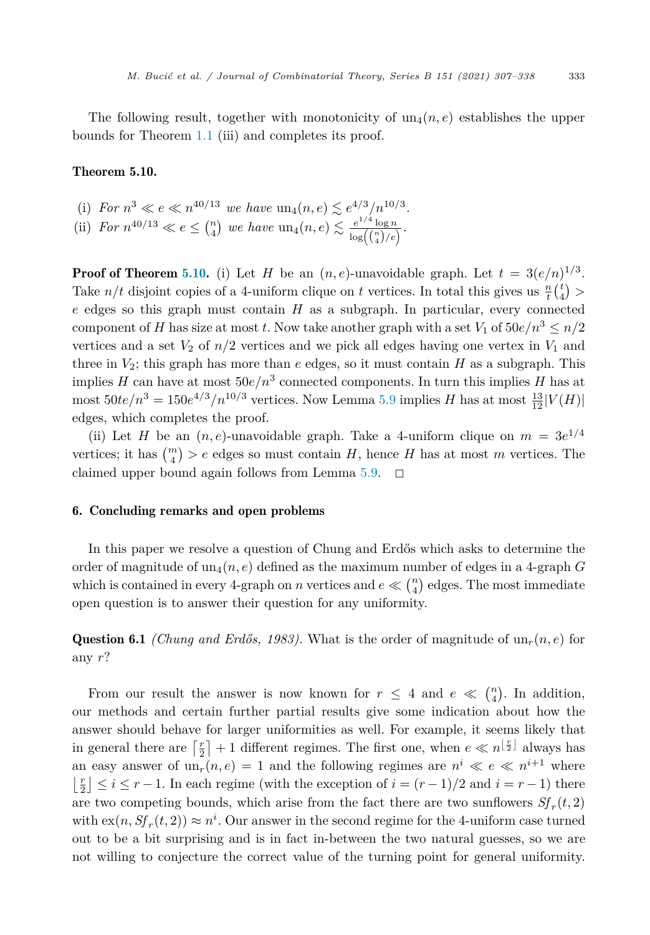<span id="page-26-0"></span>The following result, together with monotonicity of  $un_4(n, e)$  establishes the upper bounds for Theorem [1.1](#page-1-0) (iii) and completes its proof.

#### Theorem 5.10.

- (i) For  $n^3 \ll e \ll n^{40/13}$  we have  $\text{un}_4(n, e) \lesssim e^{4/3}/n^{10/3}$ .
- (ii) *For*  $n^{40/13} \ll e \leq {n \choose 4}$  *we have*  $\text{un}_4(n, e) \lesssim \frac{e^{1/4} \log n}{\log({n \choose 4}/e)}$ .

**Proof of Theorem 5.10.** (i) Let *H* be an  $(n, e)$ -unavoidable graph. Let  $t = 3(e/n)^{1/3}$ . Take  $n/t$  disjoint copies of a 4-uniform clique on *t* vertices. In total this gives us  $\frac{n}{t} {t \choose 4}$ *e* edges so this graph must contain *H* as a subgraph. In particular, every connected component of *H* has size at most *t*. Now take another graph with a set  $V_1$  of  $50e/n^3 \leq n/2$ vertices and a set  $V_2$  of  $n/2$  vertices and we pick all edges having one vertex in  $V_1$  and three in  $V_2$ ; this graph has more than  $e$  edges, so it must contain  $H$  as a subgraph. This implies *H* can have at most  $50e/n^3$  connected components. In turn this implies *H* has at  $\text{most } 50te/n^3 = 150e^{4/3}/n^{10/3} \text{ vertices.}$  Now Lemma [5.9](#page-25-0) implies *H* has at most  $\frac{13}{12}|V(H)|$ edges, which completes the proof.

(ii) Let *H* be an  $(n, e)$ -unavoidable graph. Take a 4-uniform clique on  $m = 3e^{1/4}$ vertices; it has  $\binom{m}{4}$  > e edges so must contain *H*, hence *H* has at most *m* vertices. The claimed upper bound again follows from Lemma  $5.9$ .  $\Box$ 

#### 6. Concluding remarks and open problems

In this paper we resolve a question of Chung and Erdős which asks to determine the order of magnitude of  $un_4(n, e)$  defined as the maximum number of edges in a 4-graph *G* which is contained in every 4-graph on *n* vertices and  $e \ll {n \choose 4}$  edges. The most immediate open question is to answer their question for any uniformity.

Question 6.1 *(Chung and Erdős, 1983)*. What is the order of magnitude of  $un_r(n, e)$  for any *r*?

From our result the answer is now known for  $r \leq 4$  and  $e \ll {n \choose 4}$ . In addition, our methods and certain further partial results give some indication about how the answer should behave for larger uniformities as well. For example, it seems likely that in general there are  $\lceil \frac{r}{2} \rceil + 1$  different regimes. The first one, when  $e \ll n^{\lfloor \frac{r}{2} \rfloor}$  always has an easy answer of  $un_r(n, e) = 1$  and the following regimes are  $n^i \ll e \ll n^{i+1}$  where  $\lfloor \frac{r}{2} \rfloor$  ≤ *i* ≤ *r* − 1. In each regime (with the exception of *i* =  $(r-1)/2$  and *i* = *r* − 1) there are two competing bounds, which arise from the fact there are two sunflowers  $Sf_r(t, 2)$ with  $\operatorname{ex}(n, Sf_r(t, 2)) \approx n^i$ . Our answer in the second regime for the 4-uniform case turned out to be a bit surprising and is in fact in-between the two natural guesses, so we are not willing to conjecture the correct value of the turning point for general uniformity.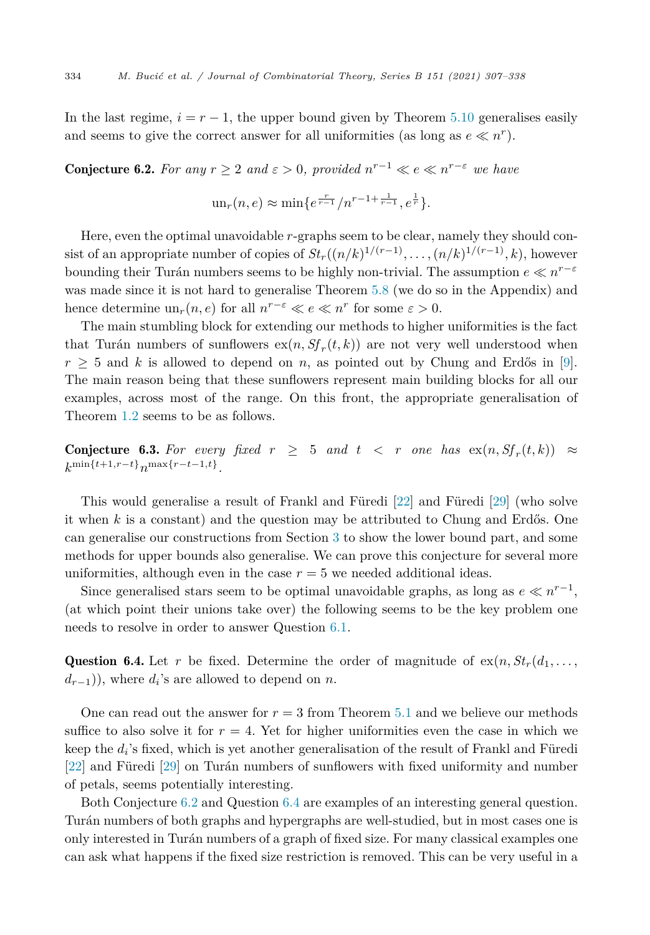In the last regime,  $i = r - 1$ , the upper bound given by Theorem [5.10](#page-26-0) generalises easily and seems to give the correct answer for all uniformities (as long as  $e \ll n^r$ ).

**Conjecture 6.2.** For any  $r \geq 2$  and  $\varepsilon > 0$ , provided  $n^{r-1} \ll e \ll n^{r-\varepsilon}$  we have

$$
\mathrm{un}_r(n,e) \approx \min\{e^{\frac{r}{r-1}}/n^{r-1+\frac{1}{r-1}}, e^{\frac{1}{r}}\}.
$$

Here, even the optimal unavoidable *r*-graphs seem to be clear, namely they should consist of an appropriate number of copies of  $St_r((n/k)^{1/(r-1)}, \ldots, (n/k)^{1/(r-1)}, k)$ , however bounding their Turán numbers seems to be highly non-trivial. The assumption  $e \ll n^{r-\varepsilon}$ was made since it is not hard to generalise Theorem [5.8](#page-25-0) (we do so in the Appendix) and hence determine  $un_r(n, e)$  for all  $n^{r-\epsilon} \ll e \ll n^r$  for some  $\varepsilon > 0$ .

The main stumbling block for extending our methods to higher uniformities is the fact that Turán numbers of sunflowers  $ex(n, Sf_r(t, k))$  are not very well understood when  $r > 5$  and *k* is allowed to depend on *n*, as pointed out by Chung and Erdős in [[9\]](#page-30-0). The main reason being that these sunflowers represent main building blocks for all our examples, across most of the range. On this front, the appropriate generalisation of Theorem [1.2](#page-3-0) seems to be as follows.

**Conjecture 6.3.** For every fixed  $r \geq 5$  and  $t < r$  one has  $\exp(n, Sf_r(t, k)) \approx$ *k*min{*t*+1*,r*−*t*}*n*max{*r*−*t*−1*,t*}*.*

This would generalise a result of Frankl and Füredi [\[22](#page-30-0)] and Füredi [\[29](#page-31-0)] (who solve it when *k* is a constant) and the question may be attributed to Chung and Erdős. One can generalise our constructions from Section [3](#page-6-0) to show the lower bound part, and some methods for upper bounds also generalise. We can prove this conjecture for several more uniformities, although even in the case  $r = 5$  we needed additional ideas.

Since generalised stars seem to be optimal unavoidable graphs, as long as  $e \ll n^{r-1}$ , (at which point their unions take over) the following seems to be the key problem one needs to resolve in order to answer Question [6.1](#page-26-0).

Question 6.4. Let r be fixed. Determine the order of magnitude of  $ex(n, St_r(d_1, \ldots,$  $d_{r-1}$ )), where  $d_i$ 's are allowed to depend on *n*.

One can read out the answer for  $r = 3$  from Theorem [5.1](#page-15-0) and we believe our methods suffice to also solve it for  $r = 4$ . Yet for higher uniformities even the case in which we keep the  $d_i$ 's fixed, which is yet another generalisation of the result of Frankl and Füredi [\[22\]](#page-30-0) and Füredi [\[29](#page-31-0)] on Turán numbers of sunflowers with fixed uniformity and number of petals, seems potentially interesting.

Both Conjecture 6.2 and Question 6.4 are examples of an interesting general question. Turán numbers of both graphs and hypergraphs are well-studied, but in most cases one is only interested in Turán numbers of a graph of fixed size. For many classical examples one can ask what happens if the fixed size restriction is removed. This can be very useful in a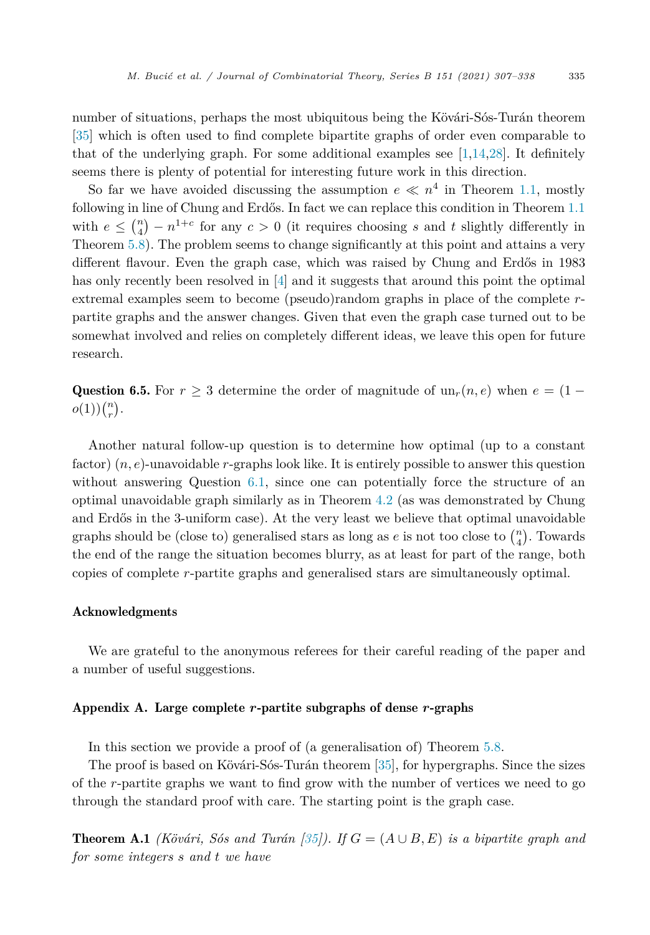<span id="page-28-0"></span>number of situations, perhaps the most ubiquitous being the Kövári-Sós-Turán theorem [\[35](#page-31-0)] which is often used to find complete bipartite graphs of order even comparable to that of the underlying graph. For some additional examples see  $[1,14,28]$  $[1,14,28]$ . It definitely seems there is plenty of potential for interesting future work in this direction.

So far we have avoided discussing the assumption  $e \ll n^4$  in Theorem [1.1,](#page-1-0) mostly following in line of Chung and Erdős. In fact we can replace this condition in Theorem [1.1](#page-1-0) with  $e \leq {n \choose 4} - n^{1+c}$  for any  $c > 0$  (it requires choosing *s* and *t* slightly differently in Theorem [5.8\)](#page-25-0). The problem seems to change significantly at this point and attains a very different flavour. Even the graph case, which was raised by Chung and Erdős in 1983 has only recently been resolved in [\[4](#page-30-0)] and it suggests that around this point the optimal extremal examples seem to become (pseudo)random graphs in place of the complete *r*partite graphs and the answer changes. Given that even the graph case turned out to be somewhat involved and relies on completely different ideas, we leave this open for future research.

Question 6.5. For  $r \geq 3$  determine the order of magnitude of  $un_r(n, e)$  when  $e = (1$  $o(1))\binom{n}{r}.$ 

Another natural follow-up question is to determine how optimal (up to a constant factor)  $(n, e)$ -unavoidable *r*-graphs look like. It is entirely possible to answer this question without answering Question [6.1](#page-26-0), since one can potentially force the structure of an optimal unavoidable graph similarly as in Theorem [4.2](#page-9-0) (as was demonstrated by Chung and Erdős in the 3-uniform case). At the very least we believe that optimal unavoidable graphs should be (close to) generalised stars as long as  $e$  is not too close to  $\binom{n}{4}$ . Towards the end of the range the situation becomes blurry, as at least for part of the range, both copies of complete *r*-partite graphs and generalised stars are simultaneously optimal.

#### Acknowledgments

We are grateful to the anonymous referees for their careful reading of the paper and a number of useful suggestions.

#### Appendix A. Large complete *r*-partite subgraphs of dense *r*-graphs

In this section we provide a proof of (a generalisation of) Theorem [5.8](#page-25-0).

The proof is based on Kövári-Sós-Turán theorem [[35\]](#page-31-0), for hypergraphs. Since the sizes of the *r*-partite graphs we want to find grow with the number of vertices we need to go through the standard proof with care. The starting point is the graph case.

**Theorem A.1** *(Kövári, Sós and Turán*  $[35]$ *).* If  $G = (A \cup B, E)$  *is a bipartite graph and for some integers s and t we have*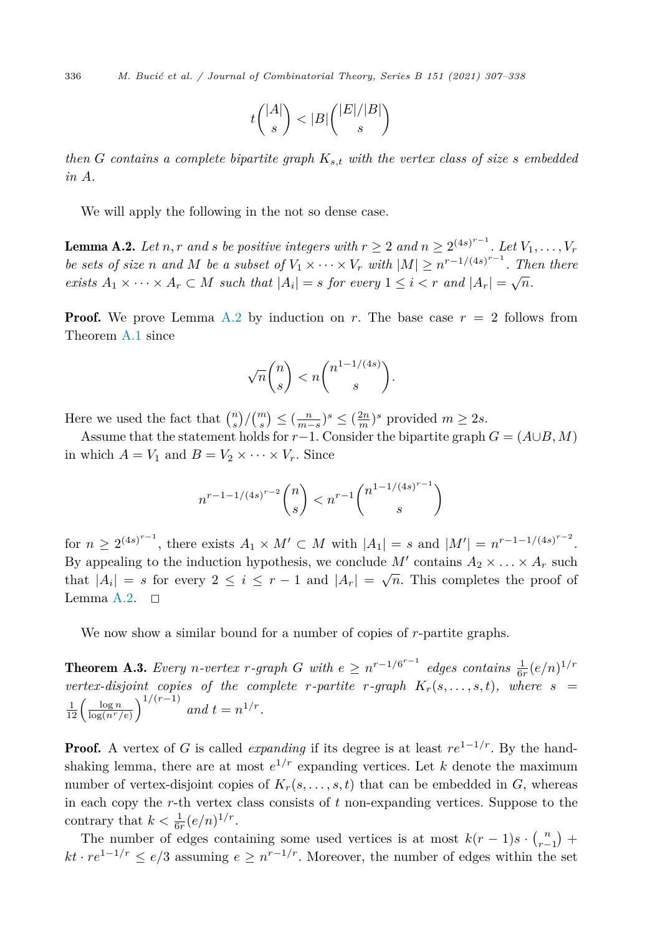<span id="page-29-0"></span>336 *M. Bucić et al. / Journal of Combinatorial Theory, Series B 151 (2021) 307–338*

$$
t\binom{|A|}{s} < |B|\binom{|E|/|B|}{s}
$$

*then G contains a complete bipartite graph Ks,t with the vertex class of size s embedded in A.*

We will apply the following in the not so dense case.

**Lemma A.2.** Let n, r and s be positive integers with  $r \geq 2$  and  $n \geq 2^{(4s)^{r-1}}$ . Let  $V_1, \ldots, V_r$ be sets of size n and M be a subset of  $V_1 \times \cdots \times V_r$  with  $|M| \geq n^{r-1/(4s)^{r-1}}$ . Then there *exists*  $A_1 \times \cdots \times A_r \subset M$  *such that*  $|A_i| = s$  *for every*  $1 \leq i \leq r$  *and*  $|A_r| = \sqrt{n}$ *.* 

**Proof.** We prove Lemma A.2 by induction on r. The base case  $r = 2$  follows from Theorem [A.1](#page-28-0) since

$$
\sqrt{n}\binom{n}{s} < n\binom{n^{1-1/(4s)}}{s}.
$$

Here we used the fact that  $\binom{n}{s} / \binom{m}{s} \leq \left(\frac{n}{m-s}\right)^s \leq \left(\frac{2n}{m}\right)^s$  provided  $m \geq 2s$ .

Assume that the statement holds for *r*−1. Consider the bipartite graph  $G = (A \cup B, M)$ in which  $A = V_1$  and  $B = V_2 \times \cdots \times V_r$ . Since

$$
n^{r-1-1/(4s)^{r-2}} \binom{n}{s} < n^{r-1} \binom{n^{1-1/(4s)^{r-1}}{s}}{s}
$$

for  $n \geq 2^{(4s)^{r-1}}$ , there exists  $A_1 \times M' \subset M$  with  $|A_1| = s$  and  $|M'| = n^{r-1-1/(4s)^{r-2}}$ . By appealing to the induction hypothesis, we conclude M' contains  $A_2 \times \ldots \times A_r$  such that  $|A_i| = s$  for every  $2 \le i \le r-1$  and  $|A_r| = \sqrt{n}$ . This completes the proof of Lemma A.2.  $\Box$ 

We now show a similar bound for a number of copies of *r*-partite graphs.

**Theorem A.3.** Every *n*-vertex *r*-graph *G* with  $e \ge n^{r-1/6^{r-1}}$  edges contains  $\frac{1}{6r}(e/n)^{1/r}$ *vertex-disjoint copies of the complete r-partite r-graph*  $K_r(s, \ldots, s, t)$ *, where s* =  $\frac{1}{12} \left( \frac{\log n}{\log(n^r/e)} \right)^{1/(r-1)}$  and  $t = n^{1/r}$ .

**Proof.** A vertex of *G* is called *expanding* if its degree is at least  $re^{1-1/r}$ . By the handshaking lemma, there are at most  $e^{1/r}$  expanding vertices. Let *k* denote the maximum number of vertex-disjoint copies of  $K_r(s, \ldots, s, t)$  that can be embedded in *G*, whereas in each copy the *r*-th vertex class consists of *t* non-expanding vertices. Suppose to the contrary that  $k < \frac{1}{6r} (e/n)^{1/r}$ .

The number of edges containing some used vertices is at most  $k(r-1)s \cdot {n \choose r-1}$ *r*<sup>1</sup> *r*<sup>−1</sup>/*r* ≤ *e/*3 assuming *e* ≥ *n*<sup>*r*−1/*r*</sup>. Moreover, the number of edges within the set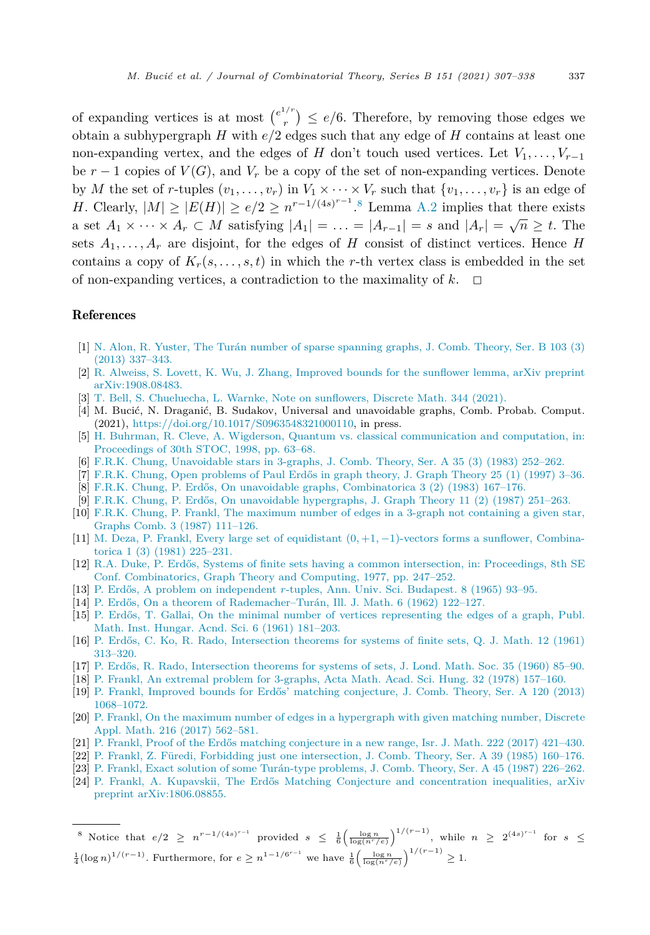<span id="page-30-0"></span>of expanding vertices is at most  $\binom{e^{1/r}}{r} \leq e/6$ . Therefore, by removing those edges we obtain a subhypergraph *H* with *e/*2 edges such that any edge of *H* contains at least one non-expanding vertex, and the edges of *H* don't touch used vertices. Let  $V_1, \ldots, V_{r-1}$ be  $r-1$  copies of  $V(G)$ , and  $V_r$  be a copy of the set of non-expanding vertices. Denote by *M* the set of *r*-tuples  $(v_1, \ldots, v_r)$  in  $V_1 \times \cdots \times V_r$  such that  $\{v_1, \ldots, v_r\}$  is an edge of *H*. Clearly,  $|M| \ge |E(H)| \ge e/2 \ge n^{r-1/(4s)^{r-1}}$ .<sup>8</sup> Lemma [A.2](#page-29-0) implies that there exists a set  $A_1 \times \cdots \times A_r \subset M$  satisfying  $|A_1| = \ldots = |A_{r-1}| = s$  and  $|A_r| = \sqrt{n} \ge t$ . The sets  $A_1, \ldots, A_r$  are disjoint, for the edges of *H* consist of distinct vertices. Hence *H* contains a copy of  $K_r(s, \ldots, s, t)$  in which the *r*-th vertex class is embedded in the set of non-expanding vertices, a contradiction to the maximality of  $k$ .  $\Box$ 

#### References

- [1] N. Alon, R. Yuster, The Turán number of sparse [spanning](http://refhub.elsevier.com/S0095-8956(21)00054-X/bibD84A24C2DE5633876CFF603AA999B50Bs1) graphs, J. Comb. Theory, Ser. B 103 (3) (2013) [337–343.](http://refhub.elsevier.com/S0095-8956(21)00054-X/bibD84A24C2DE5633876CFF603AA999B50Bs1)
- [2] R. Alweiss, S. Lovett, K. Wu, J. Zhang, [Improved](http://refhub.elsevier.com/S0095-8956(21)00054-X/bibBCE3EDE1F7397B2265EBD22AA6EE8610s1) bounds for the sunflower lemma, arXiv preprint [arXiv:1908.08483.](http://refhub.elsevier.com/S0095-8956(21)00054-X/bibBCE3EDE1F7397B2265EBD22AA6EE8610s1)
- [3] T. Bell, S. [Chueluecha,](http://refhub.elsevier.com/S0095-8956(21)00054-X/bibBD15EB932411B64844A409C7EFF5DACFs1) L. Warnke, Note on sunflowers, Discrete Math. 344 (2021).
- [4] M. Bucić, N. Draganić, B. Sudakov, Universal and unavoidable graphs, Comb. Probab. Comput. (2021), <https://doi.org/10.1017/S0963548321000110>, in press.
- [5] H. Buhrman, R. Cleve, A. Wigderson, Quantum vs. classical [communication](http://refhub.elsevier.com/S0095-8956(21)00054-X/bib3643A1C3227C928411AA7FEFBE3C0743s1) and computation, in: [Proceedings](http://refhub.elsevier.com/S0095-8956(21)00054-X/bib3643A1C3227C928411AA7FEFBE3C0743s1) of 30th STOC, 1998, pp. 63–68.
- [6] F.R.K. Chung, [Unavoidable](http://refhub.elsevier.com/S0095-8956(21)00054-X/bibE5684F034C7C4C4051CCB931CD2BBC62s1) stars in 3-graphs, J. Comb. Theory, Ser. A 35 (3) (1983) 252–262.
- [7] F.R.K. Chung, Open [problems](http://refhub.elsevier.com/S0095-8956(21)00054-X/bibEF1041C5E08E8367E6382CB8817B70D7s1) of Paul Erdős in graph theory, J. Graph Theory 25 (1) (1997) 3–36.
- [8] F.R.K. Chung, P. Erdős, On unavoidable graphs, [Combinatorica](http://refhub.elsevier.com/S0095-8956(21)00054-X/bibECEE919A28CBA6FF9B8EAB3C83C0F2E3s1) 3 (2) (1983) 167–176.
- [9] F.R.K. Chung, P. Erdős, On unavoidable [hypergraphs,](http://refhub.elsevier.com/S0095-8956(21)00054-X/bib6B781A2235B421427145FB70DD0820EBs1) J. Graph Theory 11 (2) (1987) 251–263.
- [10] F.R.K. Chung, P. Frankl, The maximum number of edges in a 3-graph not [containing](http://refhub.elsevier.com/S0095-8956(21)00054-X/bib04266233708BD470F50B17F106A1E2E0s1) a given star, Graphs Comb. 3 (1987) [111–126.](http://refhub.elsevier.com/S0095-8956(21)00054-X/bib04266233708BD470F50B17F106A1E2E0s1)
- [11] M. Deza, P. Frankl, Every large set of [equidistant](http://refhub.elsevier.com/S0095-8956(21)00054-X/bib7D20E00B0C0EC55BD434EA8C3E418761s1) (0*,* +1*,* −1)-vectors forms a sunflower, Combinatorica 1 (3) (1981) [225–231.](http://refhub.elsevier.com/S0095-8956(21)00054-X/bib7D20E00B0C0EC55BD434EA8C3E418761s1)
- [12] R.A. Duke, P. Erdős, Systems of finite sets having a common intersection, in: [Proceedings,](http://refhub.elsevier.com/S0095-8956(21)00054-X/bib5F8B65B3FF96B80CCEB2C6CABF949EE9s1) 8th SE Conf. [Combinatorics,](http://refhub.elsevier.com/S0095-8956(21)00054-X/bib5F8B65B3FF96B80CCEB2C6CABF949EE9s1) Graph Theory and Computing, 1977, pp. 247–252.
- [13] P. Erdős, A problem on [independent](http://refhub.elsevier.com/S0095-8956(21)00054-X/bib3ABC5FAABF3C5D87CA23D3A3C436FB0As1) *r*-tuples, Ann. Univ. Sci. Budapest. 8 (1965) 93–95.
- [14] P. Erdős, On a theorem of [Rademacher–Turán,](http://refhub.elsevier.com/S0095-8956(21)00054-X/bibC669CA27C4DE5806CEFF0D04AD7B48EDs1) Ill. J. Math. 6 (1962) 122–127.
- [15] P. Erdős, T. Gallai, On the minimal number of vertices [representing](http://refhub.elsevier.com/S0095-8956(21)00054-X/bibFE8AF2FC191A8E2A43E1F4B6E5C14745s1) the edges of a graph, Publ. Math. Inst. Hungar. Acnd. Sci. 6 (1961) [181–203.](http://refhub.elsevier.com/S0095-8956(21)00054-X/bibFE8AF2FC191A8E2A43E1F4B6E5C14745s1)
- [16] P. Erdős, C. Ko, R. Rado, [Intersection](http://refhub.elsevier.com/S0095-8956(21)00054-X/bibD3DA88E8C43EE7825B6BD8ADBF0C25CDs1) theorems for systems of finite sets, Q. J. Math. 12 (1961) [313–320.](http://refhub.elsevier.com/S0095-8956(21)00054-X/bibD3DA88E8C43EE7825B6BD8ADBF0C25CDs1)
- [17] P. Erdős, R. Rado, [Intersection](http://refhub.elsevier.com/S0095-8956(21)00054-X/bibAB96EDD9046B1E2EE4C38AAE831F180As1) theorems for systems of sets, J. Lond. Math. Soc. 35 (1960) 85–90.
- [18] P. Frankl, An extremal problem for [3-graphs,](http://refhub.elsevier.com/S0095-8956(21)00054-X/bib386AF7B08B6A95B1491543127C573ECDs1) Acta Math. Acad. Sci. Hung. 32 (1978) 157–160.
- [19] P. Frankl, Improved bounds for Erdős' matching [conjecture,](http://refhub.elsevier.com/S0095-8956(21)00054-X/bib6924A737A7ED469EC92286558A9A75C4s1) J. Comb. Theory, Ser. A 120 (2013) [1068–1072.](http://refhub.elsevier.com/S0095-8956(21)00054-X/bib6924A737A7ED469EC92286558A9A75C4s1)
- [20] P. Frankl, On the maximum number of edges in a [hypergraph](http://refhub.elsevier.com/S0095-8956(21)00054-X/bib54512738CD5408C625DB355AD2D0DF71s1) with given matching number, Discrete Appl. Math. 216 (2017) [562–581.](http://refhub.elsevier.com/S0095-8956(21)00054-X/bib54512738CD5408C625DB355AD2D0DF71s1)
- [21] P. Frankl, Proof of the Erdős matching [conjecture](http://refhub.elsevier.com/S0095-8956(21)00054-X/bib0DEEF79EA5049BE09EA95381504BA08Es1) in a new range, Isr. J. Math. 222 (2017) 421–430.
- [22] P. Frankl, Z. Füredi, Forbidding just one [intersection,](http://refhub.elsevier.com/S0095-8956(21)00054-X/bibB5F64C25A9BF6C5E71FE5158D8E0D20Fs1) J. Comb. Theory, Ser. A 39 (1985) 160–176.
- [23] P. Frankl, Exact solution of some [Turán-type](http://refhub.elsevier.com/S0095-8956(21)00054-X/bibB363B1CAE6792894D58EDD3D7B80CC1Fs1) problems, J. Comb. Theory, Ser. A 45 (1987) 226–262.
- [24] P. Frankl, A. Kupavskii, The Erdős Matching Conjecture and [concentration](http://refhub.elsevier.com/S0095-8956(21)00054-X/bib5B0C16A0EEA83FD74FAB2CEEF24664E0s1) inequalities, arXiv preprint [arXiv:1806.08855.](http://refhub.elsevier.com/S0095-8956(21)00054-X/bib5B0C16A0EEA83FD74FAB2CEEF24664E0s1)

8 Notice that  $e/2 \geq n^{r-1/(4s)^{r-1}}$  provided  $s \leq \frac{1}{6} \left( \frac{\log n}{\log(n^r/e)} \right)^{1/(r-1)}$ , while  $n \geq 2^{(4s)^{r-1}}$  for  $s \leq$  $\frac{1}{4}(\log n)^{1/(r-1)}$ . Furthermore, for  $e \geq n^{1-1/6^{r-1}}$  we have  $\frac{1}{6} \left( \frac{\log n}{\log(n^r/e)} \right)^{1/(r-1)} \geq 1$ .